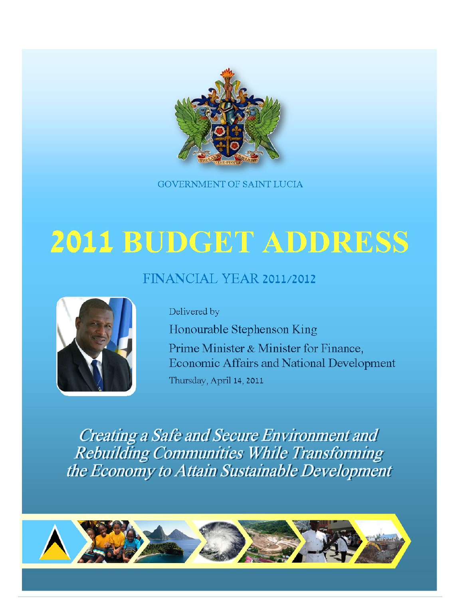

**GOVERNMENT OF SAINT LUCIA** 

# 2011 BUDGET ADDRESS

# FINANCIAL YEAR 2011/2012



Delivered by

Honourable Stephenson King Prime Minister & Minister for Finance, **Economic Affairs and National Development** Thursday, April 14, 2011

**Creating a Safe and Secure Environment and Rebuilding Communities While Transforming** the Economy to Attain Sustainable Development

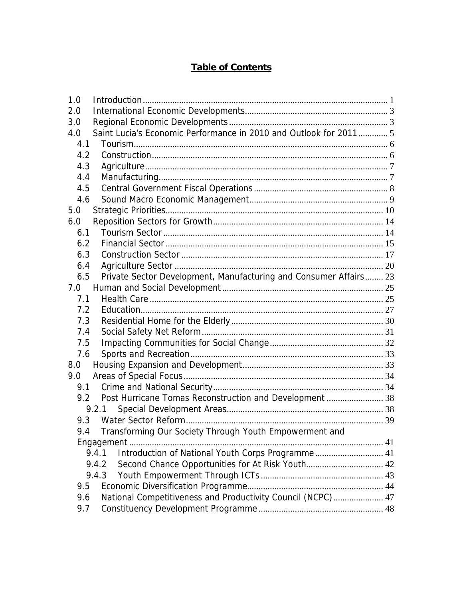# **Table of Contents**

| 1.0 |                                                                   |  |
|-----|-------------------------------------------------------------------|--|
| 2.0 |                                                                   |  |
| 3.0 |                                                                   |  |
| 4.0 | Saint Lucia's Economic Performance in 2010 and Outlook for 2011 5 |  |
| 4.1 |                                                                   |  |
| 4.2 |                                                                   |  |
| 4.3 |                                                                   |  |
| 4.4 |                                                                   |  |
| 4.5 |                                                                   |  |
| 4.6 |                                                                   |  |
| 5.0 |                                                                   |  |
| 6.0 |                                                                   |  |
| 6.1 |                                                                   |  |
| 6.2 |                                                                   |  |
| 6.3 |                                                                   |  |
| 6.4 |                                                                   |  |
| 6.5 | Private Sector Development, Manufacturing and Consumer Affairs 23 |  |
| 7.0 |                                                                   |  |
| 7.1 |                                                                   |  |
| 7.2 |                                                                   |  |
| 7.3 |                                                                   |  |
| 7.4 |                                                                   |  |
| 7.5 |                                                                   |  |
| 7.6 |                                                                   |  |
| 8.0 |                                                                   |  |
| 9.0 |                                                                   |  |
| 9.1 |                                                                   |  |
| 9.2 | Post Hurricane Tomas Reconstruction and Development  38           |  |
|     | 9.2.1                                                             |  |
| 9.3 |                                                                   |  |
| 9.4 | Transforming Our Society Through Youth Empowerment and            |  |
|     |                                                                   |  |
|     | Introduction of National Youth Corps Programme 41<br>9.4.1        |  |
|     | Second Chance Opportunities for At Risk Youth 42<br>9.4.2         |  |
|     | 9.4.3                                                             |  |
| 9.5 |                                                                   |  |
| 9.6 | National Competitiveness and Productivity Council (NCPC) 47       |  |
| 9.7 |                                                                   |  |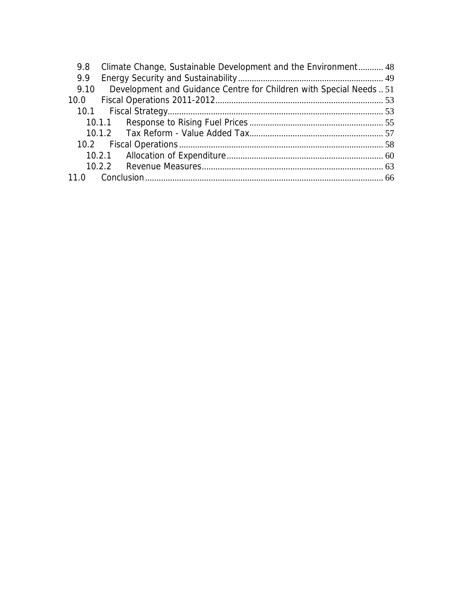| 9.8  | Climate Change, Sustainable Development and the Environment 48      |  |
|------|---------------------------------------------------------------------|--|
| 9.9  |                                                                     |  |
| 9.10 | Development and Guidance Centre for Children with Special Needs  51 |  |
|      |                                                                     |  |
|      |                                                                     |  |
|      |                                                                     |  |
|      |                                                                     |  |
|      |                                                                     |  |
|      |                                                                     |  |
|      |                                                                     |  |
|      |                                                                     |  |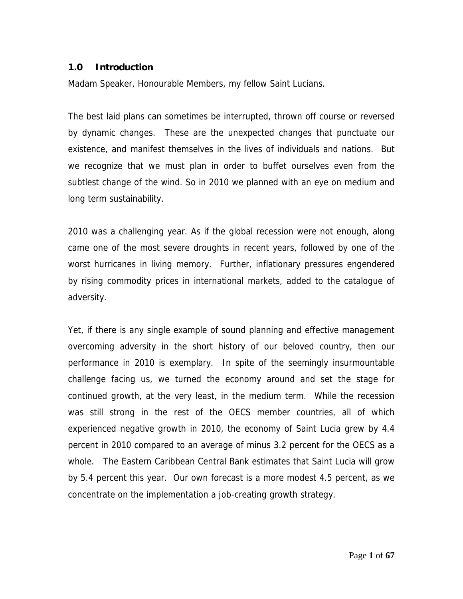#### **1.0 Introduction**

Madam Speaker, Honourable Members, my fellow Saint Lucians.

The best laid plans can sometimes be interrupted, thrown off course or reversed by dynamic changes. These are the unexpected changes that punctuate our existence, and manifest themselves in the lives of individuals and nations. But we recognize that we must plan in order to buffet ourselves even from the subtlest change of the wind. So in 2010 we planned with an eye on medium and long term sustainability.

2010 was a challenging year. As if the global recession were not enough, along came one of the most severe droughts in recent years, followed by one of the worst hurricanes in living memory. Further, inflationary pressures engendered by rising commodity prices in international markets, added to the catalogue of adversity.

Yet, if there is any single example of sound planning and effective management overcoming adversity in the short history of our beloved country, then our performance in 2010 is exemplary. In spite of the seemingly insurmountable challenge facing us, we turned the economy around and set the stage for continued growth, at the very least, in the medium term. While the recession was still strong in the rest of the OECS member countries, all of which experienced negative growth in 2010, the economy of Saint Lucia grew by 4.4 percent in 2010 compared to an average of minus 3.2 percent for the OECS as a whole. The Eastern Caribbean Central Bank estimates that Saint Lucia will grow by 5.4 percent this year. Our own forecast is a more modest 4.5 percent, as we concentrate on the implementation a job-creating growth strategy.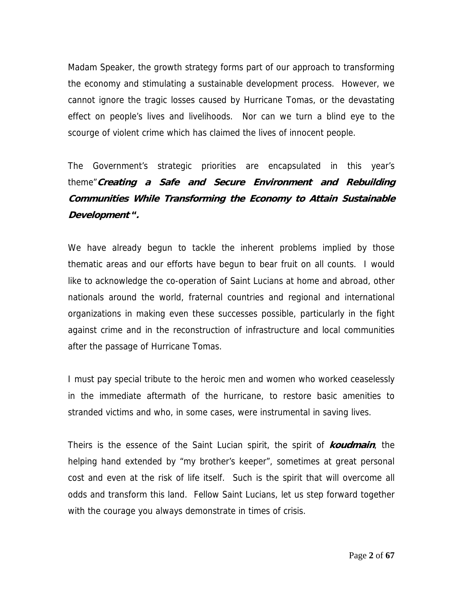Madam Speaker, the growth strategy forms part of our approach to transforming the economy and stimulating a sustainable development process. However, we cannot ignore the tragic losses caused by Hurricane Tomas, or the devastating effect on people's lives and livelihoods. Nor can we turn a blind eye to the scourge of violent crime which has claimed the lives of innocent people.

The Government's strategic priorities are encapsulated in this year's theme"**Creating a Safe and Secure Environment and Rebuilding Communities While Transforming the Economy to Attain Sustainable Development ".** 

We have already begun to tackle the inherent problems implied by those thematic areas and our efforts have begun to bear fruit on all counts. I would like to acknowledge the co-operation of Saint Lucians at home and abroad, other nationals around the world, fraternal countries and regional and international organizations in making even these successes possible, particularly in the fight against crime and in the reconstruction of infrastructure and local communities after the passage of Hurricane Tomas.

I must pay special tribute to the heroic men and women who worked ceaselessly in the immediate aftermath of the hurricane, to restore basic amenities to stranded victims and who, in some cases, were instrumental in saving lives.

Theirs is the essence of the Saint Lucian spirit, the spirit of **koudmain**, the helping hand extended by "my brother's keeper", sometimes at great personal cost and even at the risk of life itself. Such is the spirit that will overcome all odds and transform this land. Fellow Saint Lucians, let us step forward together with the courage you always demonstrate in times of crisis.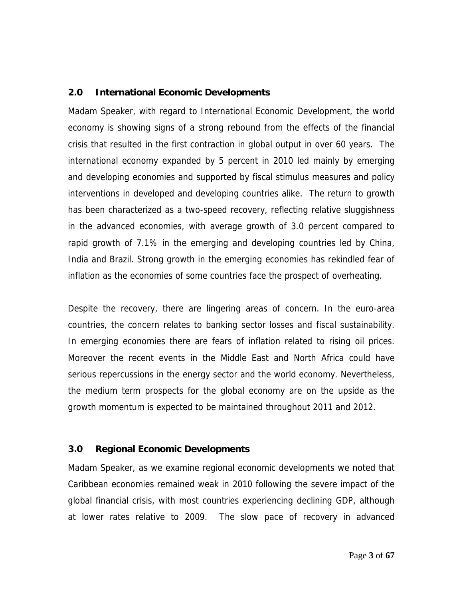#### **2.0 International Economic Developments**

Madam Speaker, with regard to International Economic Development, the world economy is showing signs of a strong rebound from the effects of the financial crisis that resulted in the first contraction in global output in over 60 years. The international economy expanded by 5 percent in 2010 led mainly by emerging and developing economies and supported by fiscal stimulus measures and policy interventions in developed and developing countries alike. The return to growth has been characterized as a two-speed recovery, reflecting relative sluggishness in the advanced economies, with average growth of 3.0 percent compared to rapid growth of 7.1% in the emerging and developing countries led by China, India and Brazil. Strong growth in the emerging economies has rekindled fear of inflation as the economies of some countries face the prospect of overheating.

Despite the recovery, there are lingering areas of concern. In the euro-area countries, the concern relates to banking sector losses and fiscal sustainability. In emerging economies there are fears of inflation related to rising oil prices. Moreover the recent events in the Middle East and North Africa could have serious repercussions in the energy sector and the world economy. Nevertheless, the medium term prospects for the global economy are on the upside as the growth momentum is expected to be maintained throughout 2011 and 2012.

#### **3.0 Regional Economic Developments**

Madam Speaker, as we examine regional economic developments we noted that Caribbean economies remained weak in 2010 following the severe impact of the global financial crisis, with most countries experiencing declining GDP, although at lower rates relative to 2009. The slow pace of recovery in advanced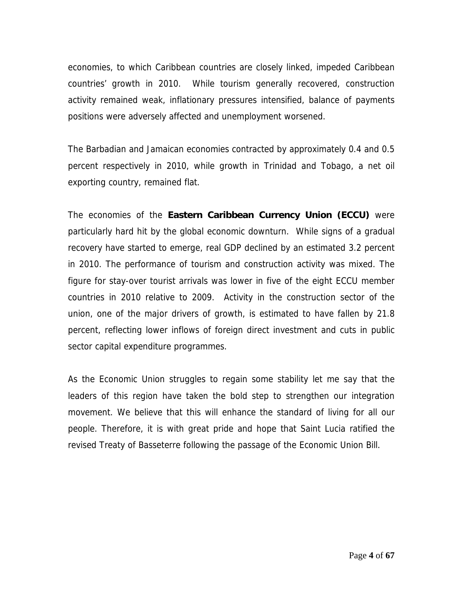economies, to which Caribbean countries are closely linked, impeded Caribbean countries' growth in 2010. While tourism generally recovered, construction activity remained weak, inflationary pressures intensified, balance of payments positions were adversely affected and unemployment worsened.

The Barbadian and Jamaican economies contracted by approximately 0.4 and 0.5 percent respectively in 2010, while growth in Trinidad and Tobago, a net oil exporting country, remained flat.

The economies of the **Eastern Caribbean Currency Union (ECCU)** were particularly hard hit by the global economic downturn. While signs of a gradual recovery have started to emerge, real GDP declined by an estimated 3.2 percent in 2010. The performance of tourism and construction activity was mixed. The figure for stay-over tourist arrivals was lower in five of the eight ECCU member countries in 2010 relative to 2009. Activity in the construction sector of the union, one of the major drivers of growth, is estimated to have fallen by 21.8 percent, reflecting lower inflows of foreign direct investment and cuts in public sector capital expenditure programmes.

As the Economic Union struggles to regain some stability let me say that the leaders of this region have taken the bold step to strengthen our integration movement. We believe that this will enhance the standard of living for all our people. Therefore, it is with great pride and hope that Saint Lucia ratified the revised Treaty of Basseterre following the passage of the Economic Union Bill.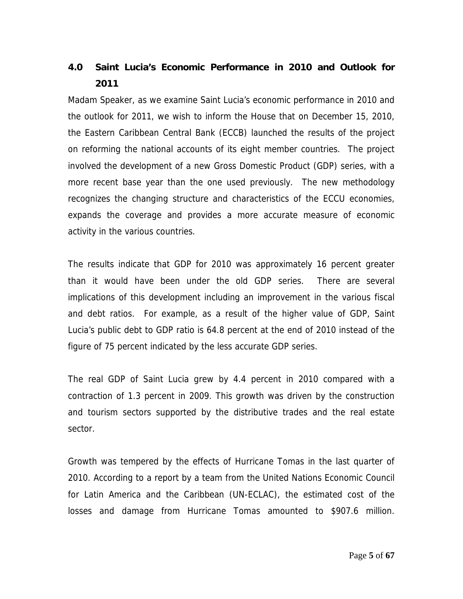# **4.0 Saint Lucia's Economic Performance in 2010 and Outlook for 2011**

Madam Speaker, as we examine Saint Lucia's economic performance in 2010 and the outlook for 2011, we wish to inform the House that on December 15, 2010, the Eastern Caribbean Central Bank (ECCB) launched the results of the project on reforming the national accounts of its eight member countries. The project involved the development of a new Gross Domestic Product (GDP) series, with a more recent base year than the one used previously. The new methodology recognizes the changing structure and characteristics of the ECCU economies, expands the coverage and provides a more accurate measure of economic activity in the various countries.

The results indicate that GDP for 2010 was approximately 16 percent greater than it would have been under the old GDP series. There are several implications of this development including an improvement in the various fiscal and debt ratios. For example, as a result of the higher value of GDP, Saint Lucia's public debt to GDP ratio is 64.8 percent at the end of 2010 instead of the figure of 75 percent indicated by the less accurate GDP series.

The real GDP of Saint Lucia grew by 4.4 percent in 2010 compared with a contraction of 1.3 percent in 2009. This growth was driven by the construction and tourism sectors supported by the distributive trades and the real estate sector.

Growth was tempered by the effects of Hurricane Tomas in the last quarter of 2010. According to a report by a team from the United Nations Economic Council for Latin America and the Caribbean (UN-ECLAC), the estimated cost of the losses and damage from Hurricane Tomas amounted to \$907.6 million.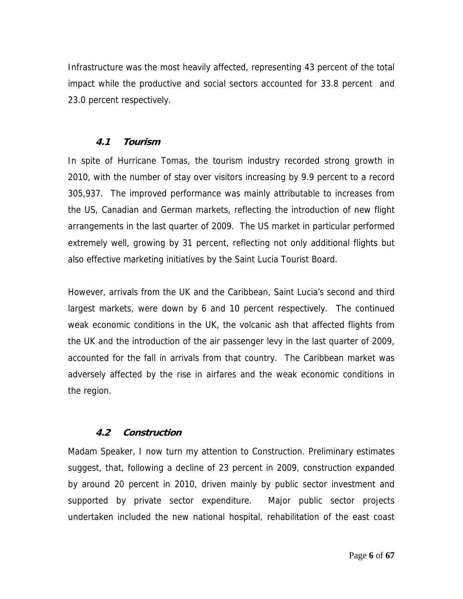Infrastructure was the most heavily affected, representing 43 percent of the total impact while the productive and social sectors accounted for 33.8 percent and 23.0 percent respectively.

# **4.1 Tourism**

In spite of Hurricane Tomas, the tourism industry recorded strong growth in 2010, with the number of stay over visitors increasing by 9.9 percent to a record 305,937. The improved performance was mainly attributable to increases from the US, Canadian and German markets, reflecting the introduction of new flight arrangements in the last quarter of 2009. The US market in particular performed extremely well, growing by 31 percent, reflecting not only additional flights but also effective marketing initiatives by the Saint Lucia Tourist Board.

However, arrivals from the UK and the Caribbean, Saint Lucia's second and third largest markets, were down by 6 and 10 percent respectively. The continued weak economic conditions in the UK, the volcanic ash that affected flights from the UK and the introduction of the air passenger levy in the last quarter of 2009, accounted for the fall in arrivals from that country. The Caribbean market was adversely affected by the rise in airfares and the weak economic conditions in the region.

# **4.2 Construction**

Madam Speaker, I now turn my attention to Construction. Preliminary estimates suggest, that, following a decline of 23 percent in 2009, construction expanded by around 20 percent in 2010, driven mainly by public sector investment and supported by private sector expenditure. Major public sector projects undertaken included the new national hospital, rehabilitation of the east coast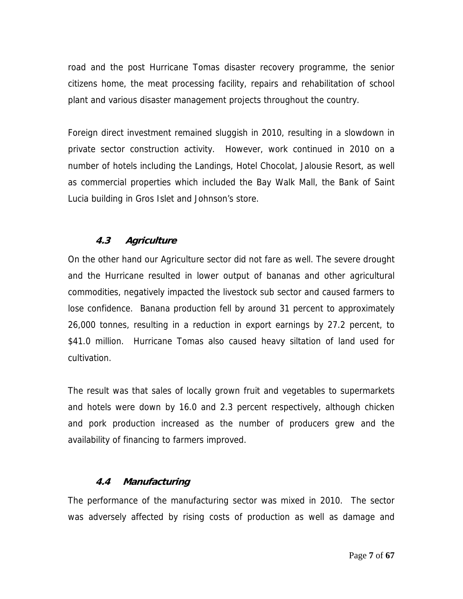road and the post Hurricane Tomas disaster recovery programme, the senior citizens home, the meat processing facility, repairs and rehabilitation of school plant and various disaster management projects throughout the country.

Foreign direct investment remained sluggish in 2010, resulting in a slowdown in private sector construction activity. However, work continued in 2010 on a number of hotels including the Landings, Hotel Chocolat, Jalousie Resort, as well as commercial properties which included the Bay Walk Mall, the Bank of Saint Lucia building in Gros Islet and Johnson's store.

# **4.3 Agriculture**

On the other hand our Agriculture sector did not fare as well. The severe drought and the Hurricane resulted in lower output of bananas and other agricultural commodities, negatively impacted the livestock sub sector and caused farmers to lose confidence. Banana production fell by around 31 percent to approximately 26,000 tonnes, resulting in a reduction in export earnings by 27.2 percent, to \$41.0 million. Hurricane Tomas also caused heavy siltation of land used for cultivation.

The result was that sales of locally grown fruit and vegetables to supermarkets and hotels were down by 16.0 and 2.3 percent respectively, although chicken and pork production increased as the number of producers grew and the availability of financing to farmers improved.

# **4.4 Manufacturing**

The performance of the manufacturing sector was mixed in 2010. The sector was adversely affected by rising costs of production as well as damage and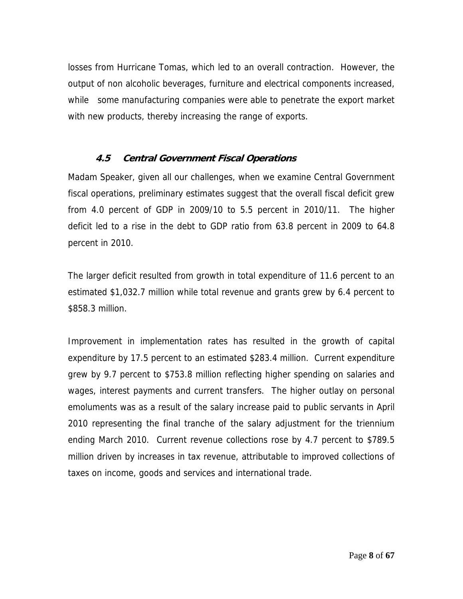losses from Hurricane Tomas, which led to an overall contraction. However, the output of non alcoholic beverages, furniture and electrical components increased, while some manufacturing companies were able to penetrate the export market with new products, thereby increasing the range of exports.

# **4.5 Central Government Fiscal Operations**

Madam Speaker, given all our challenges, when we examine Central Government fiscal operations, preliminary estimates suggest that the overall fiscal deficit grew from 4.0 percent of GDP in 2009/10 to 5.5 percent in 2010/11. The higher deficit led to a rise in the debt to GDP ratio from 63.8 percent in 2009 to 64.8 percent in 2010.

The larger deficit resulted from growth in total expenditure of 11.6 percent to an estimated \$1,032.7 million while total revenue and grants grew by 6.4 percent to \$858.3 million.

Improvement in implementation rates has resulted in the growth of capital expenditure by 17.5 percent to an estimated \$283.4 million. Current expenditure grew by 9.7 percent to \$753.8 million reflecting higher spending on salaries and wages, interest payments and current transfers. The higher outlay on personal emoluments was as a result of the salary increase paid to public servants in April 2010 representing the final tranche of the salary adjustment for the triennium ending March 2010. Current revenue collections rose by 4.7 percent to \$789.5 million driven by increases in tax revenue, attributable to improved collections of taxes on income, goods and services and international trade.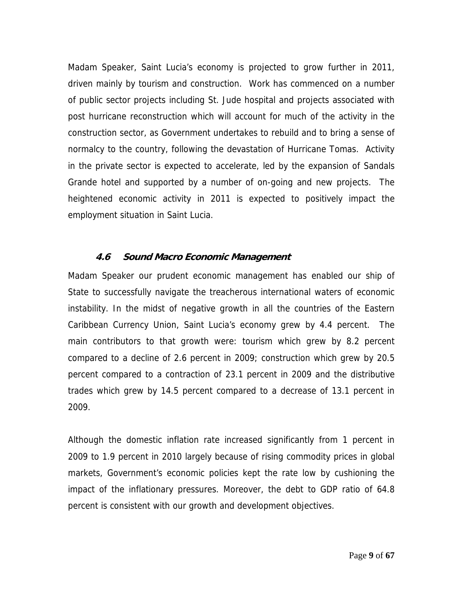Madam Speaker, Saint Lucia's economy is projected to grow further in 2011, driven mainly by tourism and construction. Work has commenced on a number of public sector projects including St. Jude hospital and projects associated with post hurricane reconstruction which will account for much of the activity in the construction sector, as Government undertakes to rebuild and to bring a sense of normalcy to the country, following the devastation of Hurricane Tomas. Activity in the private sector is expected to accelerate, led by the expansion of Sandals Grande hotel and supported by a number of on-going and new projects. The heightened economic activity in 2011 is expected to positively impact the employment situation in Saint Lucia.

#### **4.6 Sound Macro Economic Management**

Madam Speaker our prudent economic management has enabled our ship of State to successfully navigate the treacherous international waters of economic instability. In the midst of negative growth in all the countries of the Eastern Caribbean Currency Union, Saint Lucia's economy grew by 4.4 percent. The main contributors to that growth were: tourism which grew by 8.2 percent compared to a decline of 2.6 percent in 2009; construction which grew by 20.5 percent compared to a contraction of 23.1 percent in 2009 and the distributive trades which grew by 14.5 percent compared to a decrease of 13.1 percent in 2009.

Although the domestic inflation rate increased significantly from 1 percent in 2009 to 1.9 percent in 2010 largely because of rising commodity prices in global markets, Government's economic policies kept the rate low by cushioning the impact of the inflationary pressures. Moreover, the debt to GDP ratio of 64.8 percent is consistent with our growth and development objectives.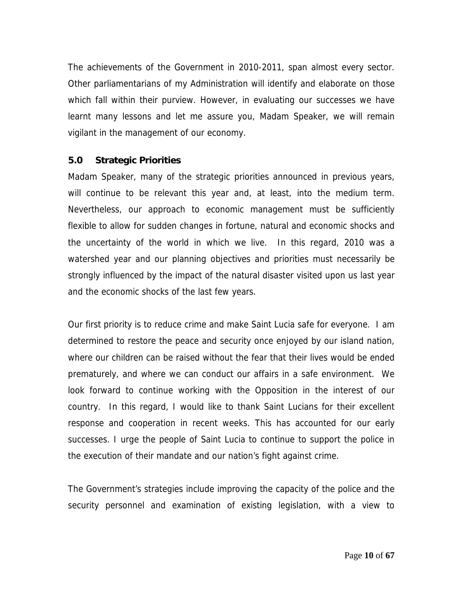The achievements of the Government in 2010-2011, span almost every sector. Other parliamentarians of my Administration will identify and elaborate on those which fall within their purview. However, in evaluating our successes we have learnt many lessons and let me assure you, Madam Speaker, we will remain vigilant in the management of our economy.

#### **5.0 Strategic Priorities**

Madam Speaker, many of the strategic priorities announced in previous years, will continue to be relevant this year and, at least, into the medium term. Nevertheless, our approach to economic management must be sufficiently flexible to allow for sudden changes in fortune, natural and economic shocks and the uncertainty of the world in which we live. In this regard, 2010 was a watershed year and our planning objectives and priorities must necessarily be strongly influenced by the impact of the natural disaster visited upon us last year and the economic shocks of the last few years.

Our first priority is to reduce crime and make Saint Lucia safe for everyone. I am determined to restore the peace and security once enjoyed by our island nation, where our children can be raised without the fear that their lives would be ended prematurely, and where we can conduct our affairs in a safe environment. We look forward to continue working with the Opposition in the interest of our country. In this regard, I would like to thank Saint Lucians for their excellent response and cooperation in recent weeks. This has accounted for our early successes. I urge the people of Saint Lucia to continue to support the police in the execution of their mandate and our nation's fight against crime.

The Government's strategies include improving the capacity of the police and the security personnel and examination of existing legislation, with a view to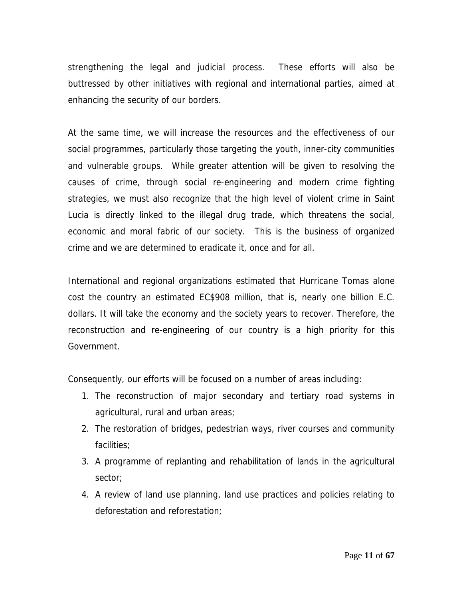strengthening the legal and judicial process. These efforts will also be buttressed by other initiatives with regional and international parties, aimed at enhancing the security of our borders.

At the same time, we will increase the resources and the effectiveness of our social programmes, particularly those targeting the youth, inner-city communities and vulnerable groups. While greater attention will be given to resolving the causes of crime, through social re-engineering and modern crime fighting strategies, we must also recognize that the high level of violent crime in Saint Lucia is directly linked to the illegal drug trade, which threatens the social, economic and moral fabric of our society. This is the business of organized crime and we are determined to eradicate it, once and for all.

International and regional organizations estimated that Hurricane Tomas alone cost the country an estimated EC\$908 million, that is, nearly one billion E.C. dollars. It will take the economy and the society years to recover. Therefore, the reconstruction and re-engineering of our country is a high priority for this Government.

Consequently, our efforts will be focused on a number of areas including:

- 1. The reconstruction of major secondary and tertiary road systems in agricultural, rural and urban areas;
- 2. The restoration of bridges, pedestrian ways, river courses and community facilities;
- 3. A programme of replanting and rehabilitation of lands in the agricultural sector;
- 4. A review of land use planning, land use practices and policies relating to deforestation and reforestation;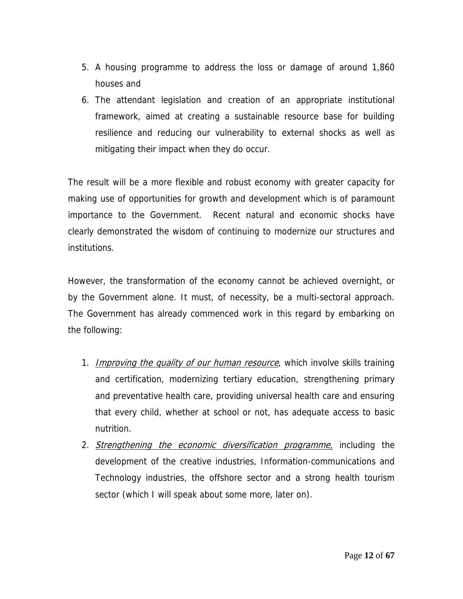- 5. A housing programme to address the loss or damage of around 1,860 houses and
- 6. The attendant legislation and creation of an appropriate institutional framework, aimed at creating a sustainable resource base for building resilience and reducing our vulnerability to external shocks as well as mitigating their impact when they do occur.

The result will be a more flexible and robust economy with greater capacity for making use of opportunities for growth and development which is of paramount importance to the Government. Recent natural and economic shocks have clearly demonstrated the wisdom of continuing to modernize our structures and institutions.

However, the transformation of the economy cannot be achieved overnight, or by the Government alone. It must, of necessity, be a multi-sectoral approach. The Government has already commenced work in this regard by embarking on the following:

- 1. *Improving the quality of our human resource*, which involve skills training and certification, modernizing tertiary education, strengthening primary and preventative health care, providing universal health care and ensuring that every child, whether at school or not, has adequate access to basic nutrition.
- 2. Strengthening the economic diversification programme, including the development of the creative industries, Information-communications and Technology industries, the offshore sector and a strong health tourism sector (which I will speak about some more, later on).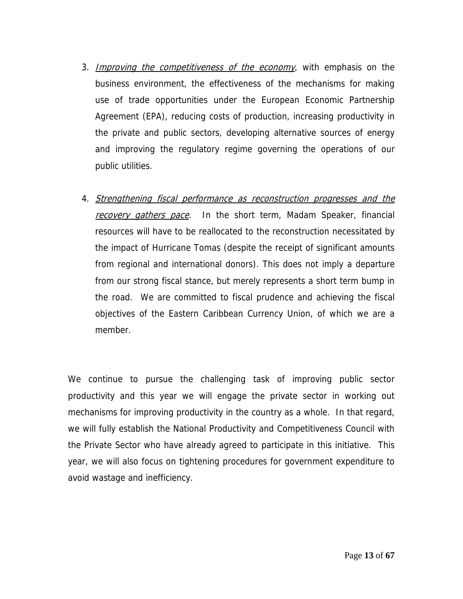- 3. Improving the competitiveness of the economy, with emphasis on the business environment, the effectiveness of the mechanisms for making use of trade opportunities under the European Economic Partnership Agreement (EPA), reducing costs of production, increasing productivity in the private and public sectors, developing alternative sources of energy and improving the regulatory regime governing the operations of our public utilities.
- 4. Strengthening fiscal performance as reconstruction progresses and the recovery gathers pace. In the short term, Madam Speaker, financial resources will have to be reallocated to the reconstruction necessitated by the impact of Hurricane Tomas (despite the receipt of significant amounts from regional and international donors). This does not imply a departure from our strong fiscal stance, but merely represents a short term bump in the road. We are committed to fiscal prudence and achieving the fiscal objectives of the Eastern Caribbean Currency Union, of which we are a member.

We continue to pursue the challenging task of improving public sector productivity and this year we will engage the private sector in working out mechanisms for improving productivity in the country as a whole. In that regard, we will fully establish the National Productivity and Competitiveness Council with the Private Sector who have already agreed to participate in this initiative. This year, we will also focus on tightening procedures for government expenditure to avoid wastage and inefficiency.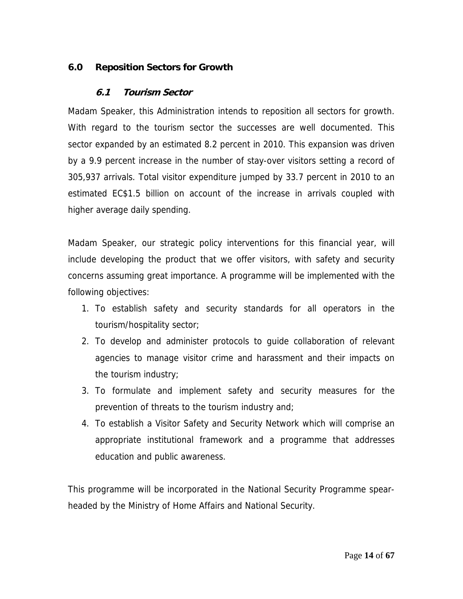# **6.0 Reposition Sectors for Growth**

## **6.1 Tourism Sector**

Madam Speaker, this Administration intends to reposition all sectors for growth. With regard to the tourism sector the successes are well documented. This sector expanded by an estimated 8.2 percent in 2010. This expansion was driven by a 9.9 percent increase in the number of stay-over visitors setting a record of 305,937 arrivals. Total visitor expenditure jumped by 33.7 percent in 2010 to an estimated EC\$1.5 billion on account of the increase in arrivals coupled with higher average daily spending.

Madam Speaker, our strategic policy interventions for this financial year, will include developing the product that we offer visitors, with safety and security concerns assuming great importance. A programme will be implemented with the following objectives:

- 1. To establish safety and security standards for all operators in the tourism/hospitality sector;
- 2. To develop and administer protocols to guide collaboration of relevant agencies to manage visitor crime and harassment and their impacts on the tourism industry;
- 3. To formulate and implement safety and security measures for the prevention of threats to the tourism industry and;
- 4. To establish a Visitor Safety and Security Network which will comprise an appropriate institutional framework and a programme that addresses education and public awareness.

This programme will be incorporated in the National Security Programme spearheaded by the Ministry of Home Affairs and National Security.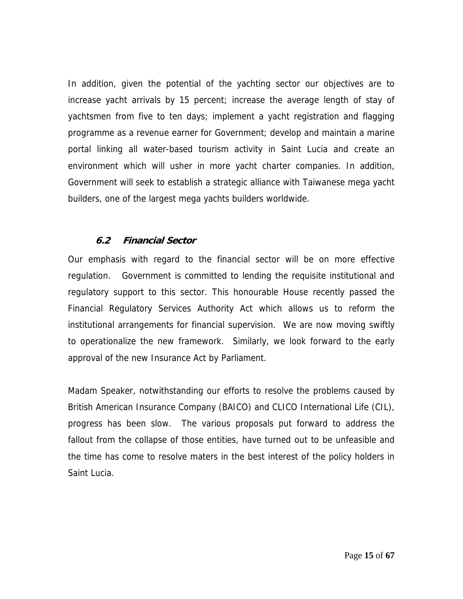In addition, given the potential of the yachting sector our objectives are to increase yacht arrivals by 15 percent; increase the average length of stay of yachtsmen from five to ten days; implement a yacht registration and flagging programme as a revenue earner for Government; develop and maintain a marine portal linking all water-based tourism activity in Saint Lucia and create an environment which will usher in more yacht charter companies. In addition, Government will seek to establish a strategic alliance with Taiwanese mega yacht builders, one of the largest mega yachts builders worldwide.

#### **6.2 Financial Sector**

Our emphasis with regard to the financial sector will be on more effective regulation. Government is committed to lending the requisite institutional and regulatory support to this sector. This honourable House recently passed the Financial Regulatory Services Authority Act which allows us to reform the institutional arrangements for financial supervision. We are now moving swiftly to operationalize the new framework. Similarly, we look forward to the early approval of the new Insurance Act by Parliament.

Madam Speaker, notwithstanding our efforts to resolve the problems caused by British American Insurance Company (BAICO) and CLICO International Life (CIL), progress has been slow. The various proposals put forward to address the fallout from the collapse of those entities, have turned out to be unfeasible and the time has come to resolve maters in the best interest of the policy holders in Saint Lucia.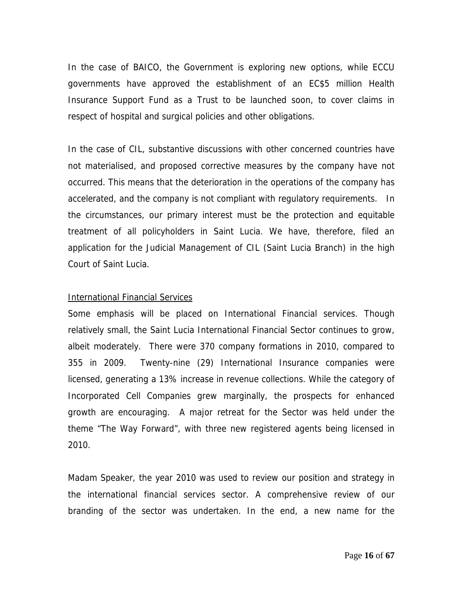In the case of BAICO, the Government is exploring new options, while ECCU governments have approved the establishment of an EC\$5 million Health Insurance Support Fund as a Trust to be launched soon, to cover claims in respect of hospital and surgical policies and other obligations.

In the case of CIL, substantive discussions with other concerned countries have not materialised, and proposed corrective measures by the company have not occurred. This means that the deterioration in the operations of the company has accelerated, and the company is not compliant with regulatory requirements. In the circumstances, our primary interest must be the protection and equitable treatment of all policyholders in Saint Lucia. We have, therefore, filed an application for the Judicial Management of CIL (Saint Lucia Branch) in the high Court of Saint Lucia.

#### **International Financial Services**

Some emphasis will be placed on International Financial services. Though relatively small, the Saint Lucia International Financial Sector continues to grow, albeit moderately. There were 370 company formations in 2010, compared to 355 in 2009. Twenty-nine (29) International Insurance companies were licensed, generating a 13% increase in revenue collections. While the category of Incorporated Cell Companies grew marginally, the prospects for enhanced growth are encouraging. A major retreat for the Sector was held under the theme "The Way Forward", with three new registered agents being licensed in 2010.

Madam Speaker, the year 2010 was used to review our position and strategy in the international financial services sector. A comprehensive review of our branding of the sector was undertaken. In the end, a new name for the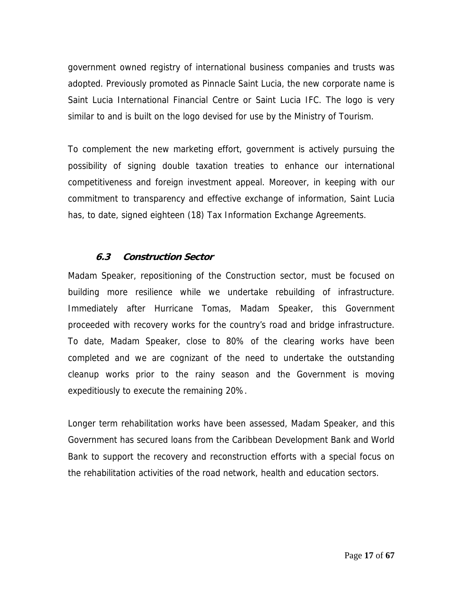government owned registry of international business companies and trusts was adopted. Previously promoted as Pinnacle Saint Lucia, the new corporate name is Saint Lucia International Financial Centre or Saint Lucia IFC. The logo is very similar to and is built on the logo devised for use by the Ministry of Tourism.

To complement the new marketing effort, government is actively pursuing the possibility of signing double taxation treaties to enhance our international competitiveness and foreign investment appeal. Moreover, in keeping with our commitment to transparency and effective exchange of information, Saint Lucia has, to date, signed eighteen (18) Tax Information Exchange Agreements.

# **6.3 Construction Sector**

Madam Speaker, repositioning of the Construction sector, must be focused on building more resilience while we undertake rebuilding of infrastructure. Immediately after Hurricane Tomas, Madam Speaker, this Government proceeded with recovery works for the country's road and bridge infrastructure. To date, Madam Speaker, close to 80% of the clearing works have been completed and we are cognizant of the need to undertake the outstanding cleanup works prior to the rainy season and the Government is moving expeditiously to execute the remaining 20%.

Longer term rehabilitation works have been assessed, Madam Speaker, and this Government has secured loans from the Caribbean Development Bank and World Bank to support the recovery and reconstruction efforts with a special focus on the rehabilitation activities of the road network, health and education sectors.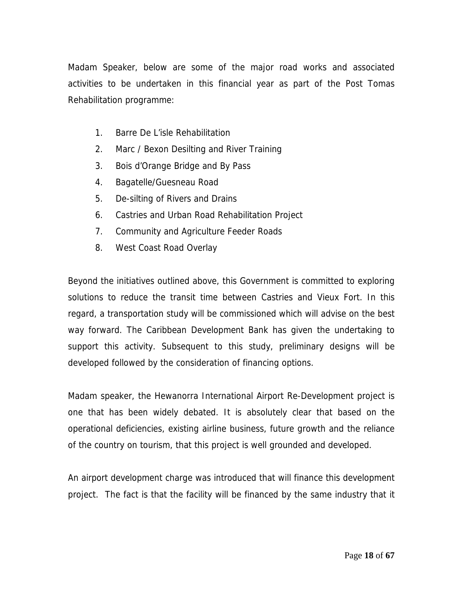Madam Speaker, below are some of the major road works and associated activities to be undertaken in this financial year as part of the Post Tomas Rehabilitation programme:

- 1. Barre De L'isle Rehabilitation
- 2. Marc / Bexon Desilting and River Training
- 3. Bois d'Orange Bridge and By Pass
- 4. Bagatelle/Guesneau Road
- 5. De-silting of Rivers and Drains
- 6. Castries and Urban Road Rehabilitation Project
- 7. Community and Agriculture Feeder Roads
- 8. West Coast Road Overlay

Beyond the initiatives outlined above, this Government is committed to exploring solutions to reduce the transit time between Castries and Vieux Fort. In this regard, a transportation study will be commissioned which will advise on the best way forward. The Caribbean Development Bank has given the undertaking to support this activity. Subsequent to this study, preliminary designs will be developed followed by the consideration of financing options.

Madam speaker, the Hewanorra International Airport Re-Development project is one that has been widely debated. It is absolutely clear that based on the operational deficiencies, existing airline business, future growth and the reliance of the country on tourism, that this project is well grounded and developed.

An airport development charge was introduced that will finance this development project. The fact is that the facility will be financed by the same industry that it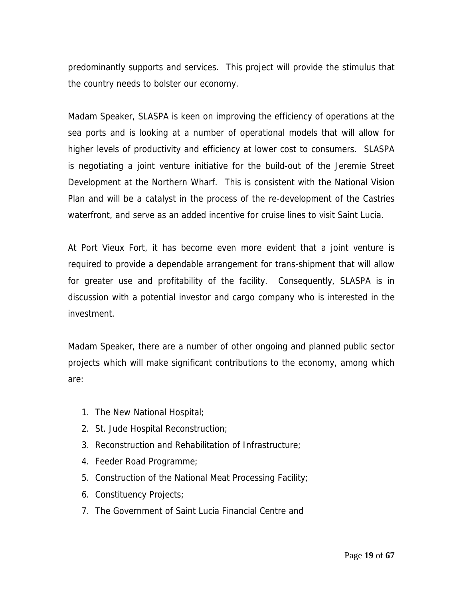predominantly supports and services. This project will provide the stimulus that the country needs to bolster our economy.

Madam Speaker, SLASPA is keen on improving the efficiency of operations at the sea ports and is looking at a number of operational models that will allow for higher levels of productivity and efficiency at lower cost to consumers. SLASPA is negotiating a joint venture initiative for the build-out of the Jeremie Street Development at the Northern Wharf. This is consistent with the National Vision Plan and will be a catalyst in the process of the re-development of the Castries waterfront, and serve as an added incentive for cruise lines to visit Saint Lucia.

At Port Vieux Fort, it has become even more evident that a joint venture is required to provide a dependable arrangement for trans-shipment that will allow for greater use and profitability of the facility. Consequently, SLASPA is in discussion with a potential investor and cargo company who is interested in the investment.

Madam Speaker, there are a number of other ongoing and planned public sector projects which will make significant contributions to the economy, among which are:

- 1. The New National Hospital;
- 2. St. Jude Hospital Reconstruction;
- 3. Reconstruction and Rehabilitation of Infrastructure;
- 4. Feeder Road Programme;
- 5. Construction of the National Meat Processing Facility;
- 6. Constituency Projects;
- 7. The Government of Saint Lucia Financial Centre and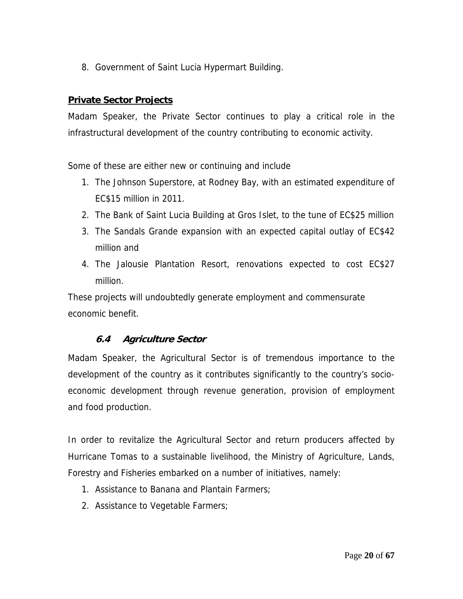8. Government of Saint Lucia Hypermart Building.

# **Private Sector Projects**

Madam Speaker, the Private Sector continues to play a critical role in the infrastructural development of the country contributing to economic activity.

Some of these are either new or continuing and include

- 1. The Johnson Superstore, at Rodney Bay, with an estimated expenditure of EC\$15 million in 2011.
- 2. The Bank of Saint Lucia Building at Gros Islet, to the tune of EC\$25 million
- 3. The Sandals Grande expansion with an expected capital outlay of EC\$42 million and
- 4. The Jalousie Plantation Resort, renovations expected to cost EC\$27 million.

These projects will undoubtedly generate employment and commensurate economic benefit.

# **6.4 Agriculture Sector**

Madam Speaker, the Agricultural Sector is of tremendous importance to the development of the country as it contributes significantly to the country's socioeconomic development through revenue generation, provision of employment and food production.

In order to revitalize the Agricultural Sector and return producers affected by Hurricane Tomas to a sustainable livelihood, the Ministry of Agriculture, Lands, Forestry and Fisheries embarked on a number of initiatives, namely:

- 1. Assistance to Banana and Plantain Farmers;
- 2. Assistance to Vegetable Farmers;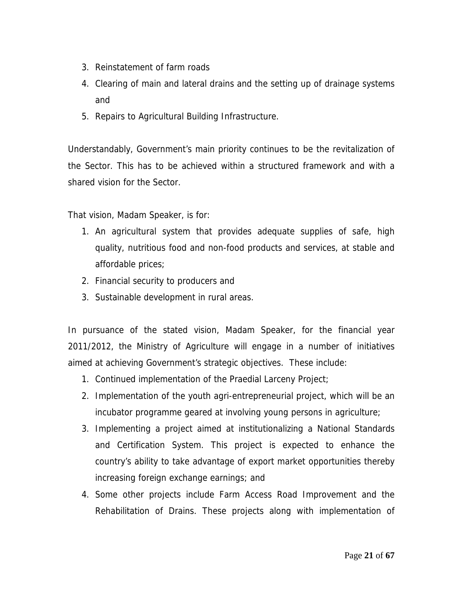- 3. Reinstatement of farm roads
- 4. Clearing of main and lateral drains and the setting up of drainage systems and
- 5. Repairs to Agricultural Building Infrastructure.

Understandably, Government's main priority continues to be the revitalization of the Sector. This has to be achieved within a structured framework and with a shared vision for the Sector.

That vision, Madam Speaker, is for:

- 1. An agricultural system that provides adequate supplies of safe, high quality, nutritious food and non-food products and services, at stable and affordable prices;
- 2. Financial security to producers and
- 3. Sustainable development in rural areas.

In pursuance of the stated vision, Madam Speaker, for the financial year 2011/2012, the Ministry of Agriculture will engage in a number of initiatives aimed at achieving Government's strategic objectives. These include:

- 1. Continued implementation of the Praedial Larceny Project;
- 2. Implementation of the youth agri-entrepreneurial project, which will be an incubator programme geared at involving young persons in agriculture;
- 3. Implementing a project aimed at institutionalizing a National Standards and Certification System. This project is expected to enhance the country's ability to take advantage of export market opportunities thereby increasing foreign exchange earnings; and
- 4. Some other projects include Farm Access Road Improvement and the Rehabilitation of Drains. These projects along with implementation of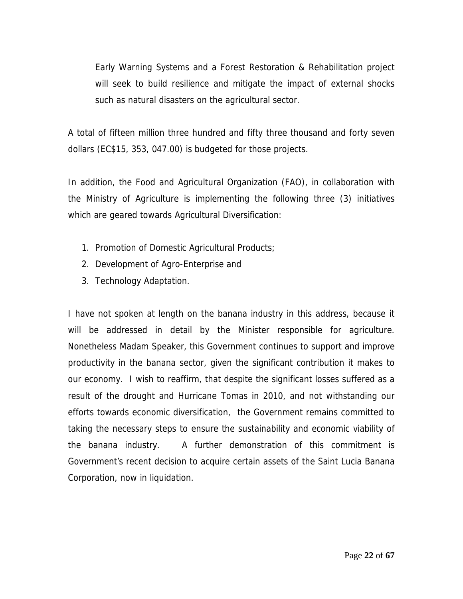Early Warning Systems and a Forest Restoration & Rehabilitation project will seek to build resilience and mitigate the impact of external shocks such as natural disasters on the agricultural sector.

A total of fifteen million three hundred and fifty three thousand and forty seven dollars (EC\$15, 353, 047.00) is budgeted for those projects.

In addition, the Food and Agricultural Organization (FAO), in collaboration with the Ministry of Agriculture is implementing the following three (3) initiatives which are geared towards Agricultural Diversification:

- 1. Promotion of Domestic Agricultural Products;
- 2. Development of Agro-Enterprise and
- 3. Technology Adaptation.

I have not spoken at length on the banana industry in this address, because it will be addressed in detail by the Minister responsible for agriculture. Nonetheless Madam Speaker, this Government continues to support and improve productivity in the banana sector, given the significant contribution it makes to our economy. I wish to reaffirm, that despite the significant losses suffered as a result of the drought and Hurricane Tomas in 2010, and not withstanding our efforts towards economic diversification, the Government remains committed to taking the necessary steps to ensure the sustainability and economic viability of the banana industry. A further demonstration of this commitment is Government's recent decision to acquire certain assets of the Saint Lucia Banana Corporation, now in liquidation.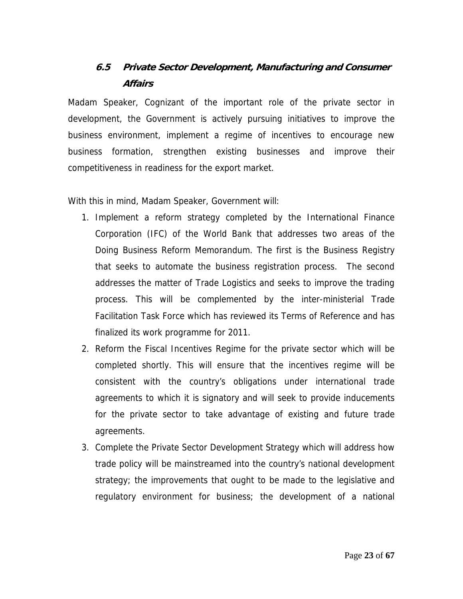# **6.5 Private Sector Development, Manufacturing and Consumer Affairs**

Madam Speaker, Cognizant of the important role of the private sector in development, the Government is actively pursuing initiatives to improve the business environment, implement a regime of incentives to encourage new business formation, strengthen existing businesses and improve their competitiveness in readiness for the export market.

With this in mind, Madam Speaker, Government will:

- 1. Implement a reform strategy completed by the International Finance Corporation (IFC) of the World Bank that addresses two areas of the Doing Business Reform Memorandum. The first is the Business Registry that seeks to automate the business registration process. The second addresses the matter of Trade Logistics and seeks to improve the trading process. This will be complemented by the inter-ministerial Trade Facilitation Task Force which has reviewed its Terms of Reference and has finalized its work programme for 2011.
- 2. Reform the Fiscal Incentives Regime for the private sector which will be completed shortly. This will ensure that the incentives regime will be consistent with the country's obligations under international trade agreements to which it is signatory and will seek to provide inducements for the private sector to take advantage of existing and future trade agreements.
- 3. Complete the Private Sector Development Strategy which will address how trade policy will be mainstreamed into the country's national development strategy; the improvements that ought to be made to the legislative and regulatory environment for business; the development of a national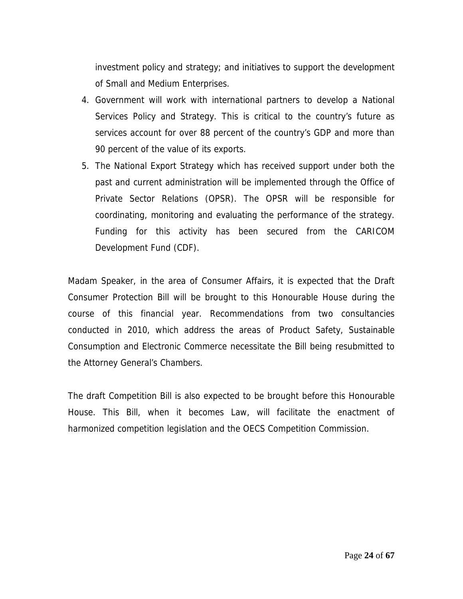investment policy and strategy; and initiatives to support the development of Small and Medium Enterprises.

- 4. Government will work with international partners to develop a National Services Policy and Strategy. This is critical to the country's future as services account for over 88 percent of the country's GDP and more than 90 percent of the value of its exports.
- 5. The National Export Strategy which has received support under both the past and current administration will be implemented through the Office of Private Sector Relations (OPSR). The OPSR will be responsible for coordinating, monitoring and evaluating the performance of the strategy. Funding for this activity has been secured from the CARICOM Development Fund (CDF).

Madam Speaker, in the area of Consumer Affairs, it is expected that the Draft Consumer Protection Bill will be brought to this Honourable House during the course of this financial year. Recommendations from two consultancies conducted in 2010, which address the areas of Product Safety, Sustainable Consumption and Electronic Commerce necessitate the Bill being resubmitted to the Attorney General's Chambers.

The draft Competition Bill is also expected to be brought before this Honourable House. This Bill, when it becomes Law, will facilitate the enactment of harmonized competition legislation and the OECS Competition Commission.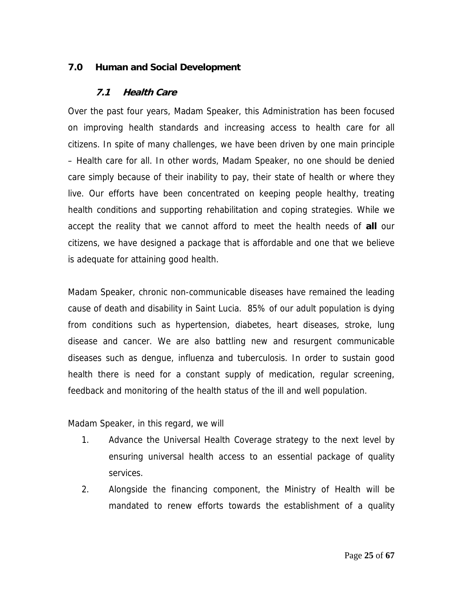## **7.0 Human and Social Development**

#### **7.1 Health Care**

Over the past four years, Madam Speaker, this Administration has been focused on improving health standards and increasing access to health care for all citizens. In spite of many challenges, we have been driven by one main principle – Health care for all. In other words, Madam Speaker, no one should be denied care simply because of their inability to pay, their state of health or where they live. Our efforts have been concentrated on keeping people healthy, treating health conditions and supporting rehabilitation and coping strategies. While we accept the reality that we cannot afford to meet the health needs of **all** our citizens, we have designed a package that is affordable and one that we believe is adequate for attaining good health.

Madam Speaker, chronic non-communicable diseases have remained the leading cause of death and disability in Saint Lucia. 85% of our adult population is dying from conditions such as hypertension, diabetes, heart diseases, stroke, lung disease and cancer. We are also battling new and resurgent communicable diseases such as dengue, influenza and tuberculosis. In order to sustain good health there is need for a constant supply of medication, regular screening, feedback and monitoring of the health status of the ill and well population.

Madam Speaker, in this regard, we will

- 1. Advance the Universal Health Coverage strategy to the next level by ensuring universal health access to an essential package of quality services.
- 2. Alongside the financing component, the Ministry of Health will be mandated to renew efforts towards the establishment of a quality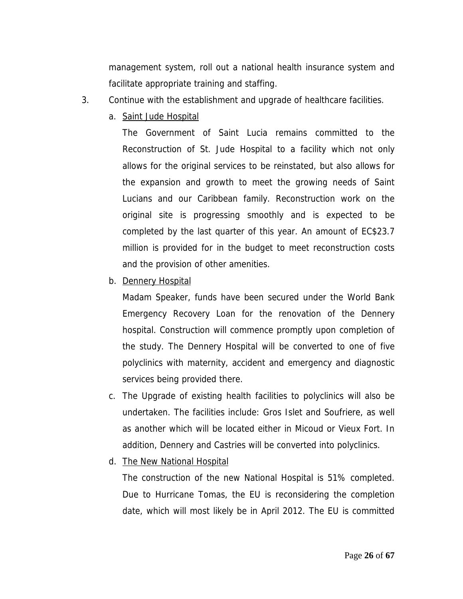management system, roll out a national health insurance system and facilitate appropriate training and staffing.

- 3. Continue with the establishment and upgrade of healthcare facilities.
	- a. Saint Jude Hospital

The Government of Saint Lucia remains committed to the Reconstruction of St. Jude Hospital to a facility which not only allows for the original services to be reinstated, but also allows for the expansion and growth to meet the growing needs of Saint Lucians and our Caribbean family. Reconstruction work on the original site is progressing smoothly and is expected to be completed by the last quarter of this year. An amount of EC\$23.7 million is provided for in the budget to meet reconstruction costs and the provision of other amenities.

b. Dennery Hospital

Madam Speaker, funds have been secured under the World Bank Emergency Recovery Loan for the renovation of the Dennery hospital. Construction will commence promptly upon completion of the study. The Dennery Hospital will be converted to one of five polyclinics with maternity, accident and emergency and diagnostic services being provided there.

- c. The Upgrade of existing health facilities to polyclinics will also be undertaken. The facilities include: Gros Islet and Soufriere, as well as another which will be located either in Micoud or Vieux Fort. In addition, Dennery and Castries will be converted into polyclinics.
- d. The New National Hospital

The construction of the new National Hospital is 51% completed. Due to Hurricane Tomas, the EU is reconsidering the completion date, which will most likely be in April 2012. The EU is committed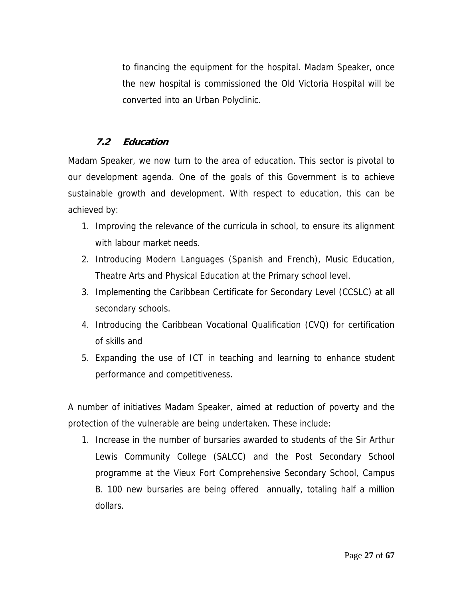to financing the equipment for the hospital. Madam Speaker, once the new hospital is commissioned the Old Victoria Hospital will be converted into an Urban Polyclinic.

# **7.2 Education**

Madam Speaker, we now turn to the area of education. This sector is pivotal to our development agenda. One of the goals of this Government is to achieve sustainable growth and development. With respect to education, this can be achieved by:

- 1. Improving the relevance of the curricula in school, to ensure its alignment with labour market needs.
- 2. Introducing Modern Languages (Spanish and French), Music Education, Theatre Arts and Physical Education at the Primary school level.
- 3. Implementing the Caribbean Certificate for Secondary Level (CCSLC) at all secondary schools.
- 4. Introducing the Caribbean Vocational Qualification (CVQ) for certification of skills and
- 5. Expanding the use of ICT in teaching and learning to enhance student performance and competitiveness.

A number of initiatives Madam Speaker, aimed at reduction of poverty and the protection of the vulnerable are being undertaken. These include:

1. Increase in the number of bursaries awarded to students of the Sir Arthur Lewis Community College (SALCC) and the Post Secondary School programme at the Vieux Fort Comprehensive Secondary School, Campus B. 100 new bursaries are being offered annually, totaling half a million dollars.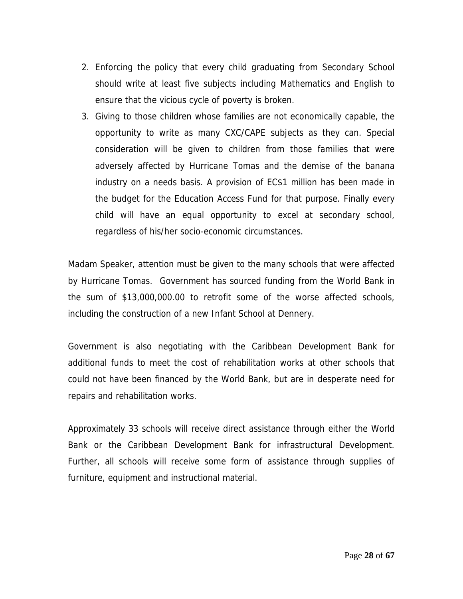- 2. Enforcing the policy that every child graduating from Secondary School should write at least five subjects including Mathematics and English to ensure that the vicious cycle of poverty is broken.
- 3. Giving to those children whose families are not economically capable, the opportunity to write as many CXC/CAPE subjects as they can. Special consideration will be given to children from those families that were adversely affected by Hurricane Tomas and the demise of the banana industry on a needs basis. A provision of EC\$1 million has been made in the budget for the Education Access Fund for that purpose. Finally every child will have an equal opportunity to excel at secondary school, regardless of his/her socio-economic circumstances.

Madam Speaker, attention must be given to the many schools that were affected by Hurricane Tomas. Government has sourced funding from the World Bank in the sum of \$13,000,000.00 to retrofit some of the worse affected schools, including the construction of a new Infant School at Dennery.

Government is also negotiating with the Caribbean Development Bank for additional funds to meet the cost of rehabilitation works at other schools that could not have been financed by the World Bank, but are in desperate need for repairs and rehabilitation works.

Approximately 33 schools will receive direct assistance through either the World Bank or the Caribbean Development Bank for infrastructural Development. Further, all schools will receive some form of assistance through supplies of furniture, equipment and instructional material.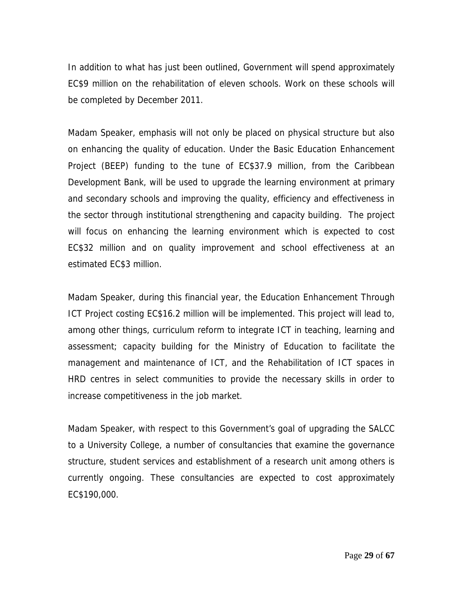In addition to what has just been outlined, Government will spend approximately EC\$9 million on the rehabilitation of eleven schools. Work on these schools will be completed by December 2011.

Madam Speaker, emphasis will not only be placed on physical structure but also on enhancing the quality of education. Under the Basic Education Enhancement Project (BEEP) funding to the tune of EC\$37.9 million, from the Caribbean Development Bank, will be used to upgrade the learning environment at primary and secondary schools and improving the quality, efficiency and effectiveness in the sector through institutional strengthening and capacity building. The project will focus on enhancing the learning environment which is expected to cost EC\$32 million and on quality improvement and school effectiveness at an estimated EC\$3 million.

Madam Speaker, during this financial year, the Education Enhancement Through ICT Project costing EC\$16.2 million will be implemented. This project will lead to, among other things, curriculum reform to integrate ICT in teaching, learning and assessment; capacity building for the Ministry of Education to facilitate the management and maintenance of ICT, and the Rehabilitation of ICT spaces in HRD centres in select communities to provide the necessary skills in order to increase competitiveness in the job market.

Madam Speaker, with respect to this Government's goal of upgrading the SALCC to a University College, a number of consultancies that examine the governance structure, student services and establishment of a research unit among others is currently ongoing. These consultancies are expected to cost approximately EC\$190,000.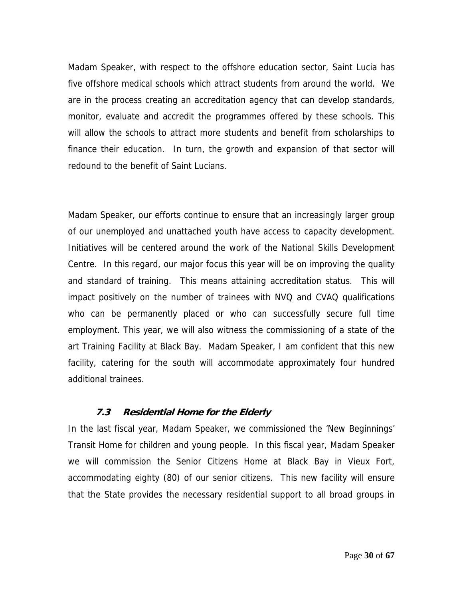Madam Speaker, with respect to the offshore education sector, Saint Lucia has five offshore medical schools which attract students from around the world. We are in the process creating an accreditation agency that can develop standards, monitor, evaluate and accredit the programmes offered by these schools. This will allow the schools to attract more students and benefit from scholarships to finance their education. In turn, the growth and expansion of that sector will redound to the benefit of Saint Lucians.

Madam Speaker, our efforts continue to ensure that an increasingly larger group of our unemployed and unattached youth have access to capacity development. Initiatives will be centered around the work of the National Skills Development Centre. In this regard, our major focus this year will be on improving the quality and standard of training. This means attaining accreditation status. This will impact positively on the number of trainees with NVQ and CVAQ qualifications who can be permanently placed or who can successfully secure full time employment. This year, we will also witness the commissioning of a state of the art Training Facility at Black Bay. Madam Speaker, I am confident that this new facility, catering for the south will accommodate approximately four hundred additional trainees.

# **7.3 Residential Home for the Elderly**

In the last fiscal year, Madam Speaker, we commissioned the 'New Beginnings' Transit Home for children and young people. In this fiscal year, Madam Speaker we will commission the Senior Citizens Home at Black Bay in Vieux Fort, accommodating eighty (80) of our senior citizens. This new facility will ensure that the State provides the necessary residential support to all broad groups in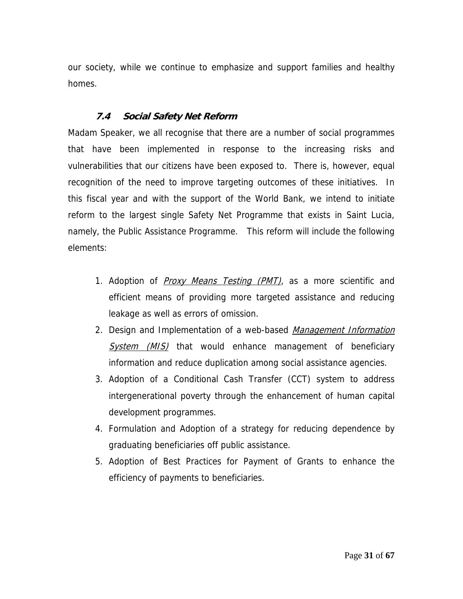our society, while we continue to emphasize and support families and healthy homes.

# **7.4 Social Safety Net Reform**

Madam Speaker, we all recognise that there are a number of social programmes that have been implemented in response to the increasing risks and vulnerabilities that our citizens have been exposed to. There is, however, equal recognition of the need to improve targeting outcomes of these initiatives. In this fiscal year and with the support of the World Bank, we intend to initiate reform to the largest single Safety Net Programme that exists in Saint Lucia, namely, the Public Assistance Programme. This reform will include the following elements:

- 1. Adoption of *Proxy Means Testing (PMT)*, as a more scientific and efficient means of providing more targeted assistance and reducing leakage as well as errors of omission.
- 2. Design and Implementation of a web-based Management Information System (MIS) that would enhance management of beneficiary information and reduce duplication among social assistance agencies.
- 3. Adoption of a Conditional Cash Transfer (CCT) system to address intergenerational poverty through the enhancement of human capital development programmes.
- 4. Formulation and Adoption of a strategy for reducing dependence by graduating beneficiaries off public assistance.
- 5. Adoption of Best Practices for Payment of Grants to enhance the efficiency of payments to beneficiaries.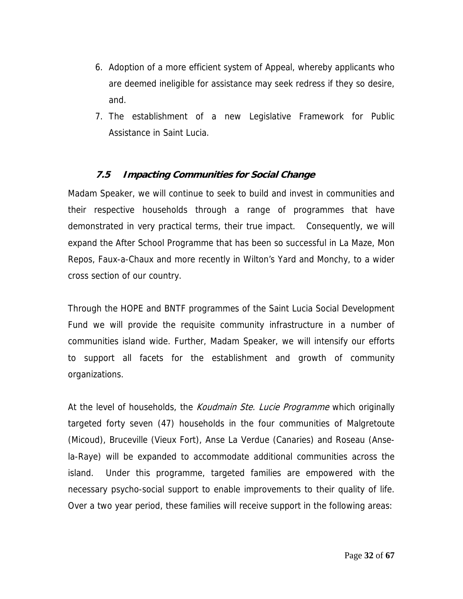- 6. Adoption of a more efficient system of Appeal, whereby applicants who are deemed ineligible for assistance may seek redress if they so desire, and.
- 7. The establishment of a new Legislative Framework for Public Assistance in Saint Lucia.

# **7.5 Impacting Communities for Social Change**

Madam Speaker, we will continue to seek to build and invest in communities and their respective households through a range of programmes that have demonstrated in very practical terms, their true impact. Consequently, we will expand the After School Programme that has been so successful in La Maze, Mon Repos, Faux-a-Chaux and more recently in Wilton's Yard and Monchy, to a wider cross section of our country.

Through the HOPE and BNTF programmes of the Saint Lucia Social Development Fund we will provide the requisite community infrastructure in a number of communities island wide. Further, Madam Speaker, we will intensify our efforts to support all facets for the establishment and growth of community organizations.

At the level of households, the *Koudmain Ste. Lucie Programme* which originally targeted forty seven (47) households in the four communities of Malgretoute (Micoud), Bruceville (Vieux Fort), Anse La Verdue (Canaries) and Roseau (Ansela-Raye) will be expanded to accommodate additional communities across the island. Under this programme, targeted families are empowered with the necessary psycho-social support to enable improvements to their quality of life. Over a two year period, these families will receive support in the following areas: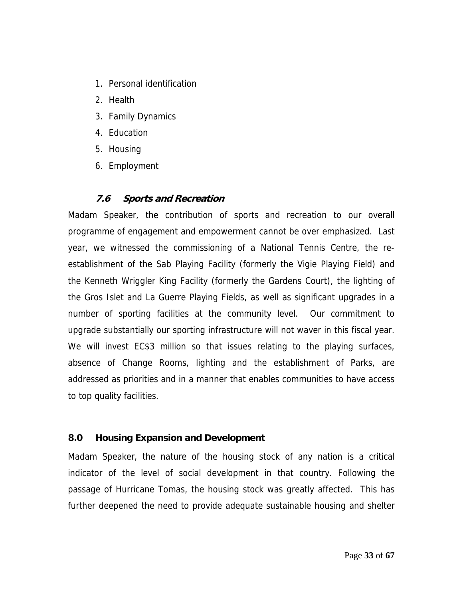- 1. Personal identification
- 2. Health
- 3. Family Dynamics
- 4. Education
- 5. Housing
- 6. Employment

# **7.6 Sports and Recreation**

Madam Speaker, the contribution of sports and recreation to our overall programme of engagement and empowerment cannot be over emphasized. Last year, we witnessed the commissioning of a National Tennis Centre, the reestablishment of the Sab Playing Facility (formerly the Vigie Playing Field) and the Kenneth Wriggler King Facility (formerly the Gardens Court), the lighting of the Gros Islet and La Guerre Playing Fields, as well as significant upgrades in a number of sporting facilities at the community level. Our commitment to upgrade substantially our sporting infrastructure will not waver in this fiscal year. We will invest EC\$3 million so that issues relating to the playing surfaces, absence of Change Rooms, lighting and the establishment of Parks, are addressed as priorities and in a manner that enables communities to have access to top quality facilities.

# **8.0 Housing Expansion and Development**

Madam Speaker, the nature of the housing stock of any nation is a critical indicator of the level of social development in that country. Following the passage of Hurricane Tomas, the housing stock was greatly affected. This has further deepened the need to provide adequate sustainable housing and shelter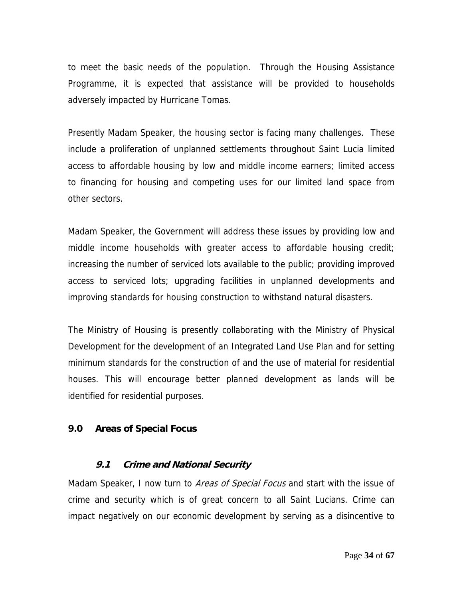to meet the basic needs of the population. Through the Housing Assistance Programme, it is expected that assistance will be provided to households adversely impacted by Hurricane Tomas.

Presently Madam Speaker, the housing sector is facing many challenges. These include a proliferation of unplanned settlements throughout Saint Lucia limited access to affordable housing by low and middle income earners; limited access to financing for housing and competing uses for our limited land space from other sectors.

Madam Speaker, the Government will address these issues by providing low and middle income households with greater access to affordable housing credit; increasing the number of serviced lots available to the public; providing improved access to serviced lots; upgrading facilities in unplanned developments and improving standards for housing construction to withstand natural disasters.

The Ministry of Housing is presently collaborating with the Ministry of Physical Development for the development of an Integrated Land Use Plan and for setting minimum standards for the construction of and the use of material for residential houses. This will encourage better planned development as lands will be identified for residential purposes.

#### **9.0 Areas of Special Focus**

#### **9.1 Crime and National Security**

Madam Speaker, I now turn to *Areas of Special Focus* and start with the issue of crime and security which is of great concern to all Saint Lucians. Crime can impact negatively on our economic development by serving as a disincentive to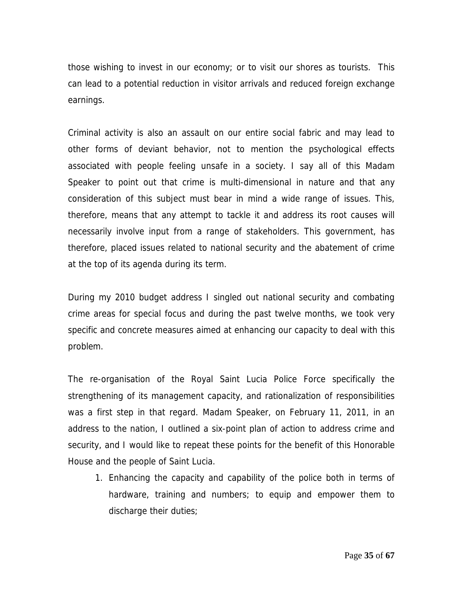those wishing to invest in our economy; or to visit our shores as tourists. This can lead to a potential reduction in visitor arrivals and reduced foreign exchange earnings.

Criminal activity is also an assault on our entire social fabric and may lead to other forms of deviant behavior, not to mention the psychological effects associated with people feeling unsafe in a society. I say all of this Madam Speaker to point out that crime is multi-dimensional in nature and that any consideration of this subject must bear in mind a wide range of issues. This, therefore, means that any attempt to tackle it and address its root causes will necessarily involve input from a range of stakeholders. This government, has therefore, placed issues related to national security and the abatement of crime at the top of its agenda during its term.

During my 2010 budget address I singled out national security and combating crime areas for special focus and during the past twelve months, we took very specific and concrete measures aimed at enhancing our capacity to deal with this problem.

The re-organisation of the Royal Saint Lucia Police Force specifically the strengthening of its management capacity, and rationalization of responsibilities was a first step in that regard. Madam Speaker, on February 11, 2011, in an address to the nation, I outlined a six-point plan of action to address crime and security, and I would like to repeat these points for the benefit of this Honorable House and the people of Saint Lucia.

1. Enhancing the capacity and capability of the police both in terms of hardware, training and numbers; to equip and empower them to discharge their duties;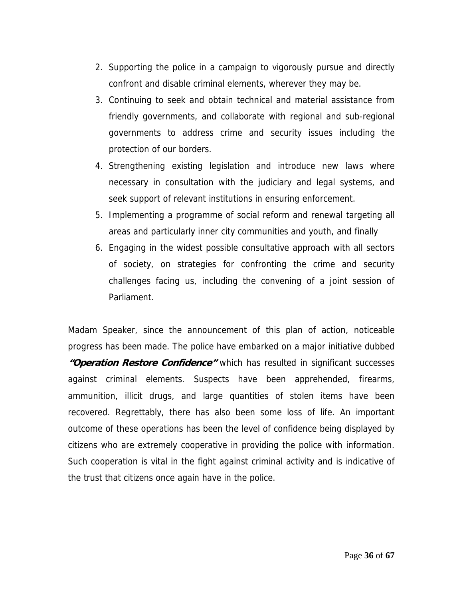- 2. Supporting the police in a campaign to vigorously pursue and directly confront and disable criminal elements, wherever they may be.
- 3. Continuing to seek and obtain technical and material assistance from friendly governments, and collaborate with regional and sub-regional governments to address crime and security issues including the protection of our borders.
- 4. Strengthening existing legislation and introduce new laws where necessary in consultation with the judiciary and legal systems, and seek support of relevant institutions in ensuring enforcement.
- 5. Implementing a programme of social reform and renewal targeting all areas and particularly inner city communities and youth, and finally
- 6. Engaging in the widest possible consultative approach with all sectors of society, on strategies for confronting the crime and security challenges facing us, including the convening of a joint session of Parliament.

Madam Speaker, since the announcement of this plan of action, noticeable progress has been made. The police have embarked on a major initiative dubbed **"Operation Restore Confidence"** which has resulted in significant successes against criminal elements. Suspects have been apprehended, firearms, ammunition, illicit drugs, and large quantities of stolen items have been recovered. Regrettably, there has also been some loss of life. An important outcome of these operations has been the level of confidence being displayed by citizens who are extremely cooperative in providing the police with information. Such cooperation is vital in the fight against criminal activity and is indicative of the trust that citizens once again have in the police.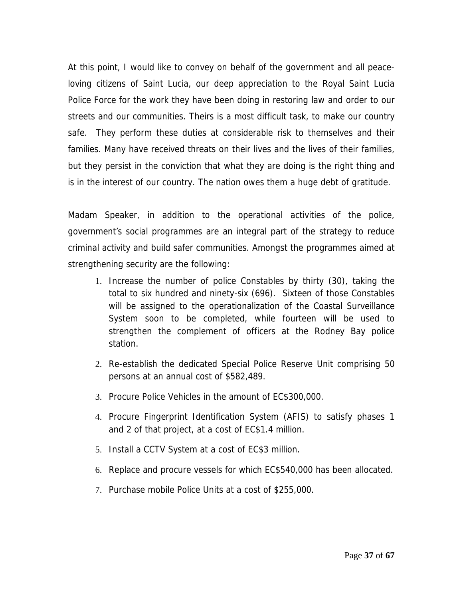At this point, I would like to convey on behalf of the government and all peaceloving citizens of Saint Lucia, our deep appreciation to the Royal Saint Lucia Police Force for the work they have been doing in restoring law and order to our streets and our communities. Theirs is a most difficult task, to make our country safe. They perform these duties at considerable risk to themselves and their families. Many have received threats on their lives and the lives of their families, but they persist in the conviction that what they are doing is the right thing and is in the interest of our country. The nation owes them a huge debt of gratitude.

Madam Speaker, in addition to the operational activities of the police, government's social programmes are an integral part of the strategy to reduce criminal activity and build safer communities. Amongst the programmes aimed at strengthening security are the following:

- 1. Increase the number of police Constables by thirty (30), taking the total to six hundred and ninety-six (696). Sixteen of those Constables will be assigned to the operationalization of the Coastal Surveillance System soon to be completed, while fourteen will be used to strengthen the complement of officers at the Rodney Bay police station.
- 2. Re-establish the dedicated Special Police Reserve Unit comprising 50 persons at an annual cost of \$582,489.
- 3. Procure Police Vehicles in the amount of EC\$300,000.
- 4. Procure Fingerprint Identification System (AFIS) to satisfy phases 1 and 2 of that project, at a cost of EC\$1.4 million.
- 5. Install a CCTV System at a cost of EC\$3 million.
- 6. Replace and procure vessels for which EC\$540,000 has been allocated.
- 7. Purchase mobile Police Units at a cost of \$255,000.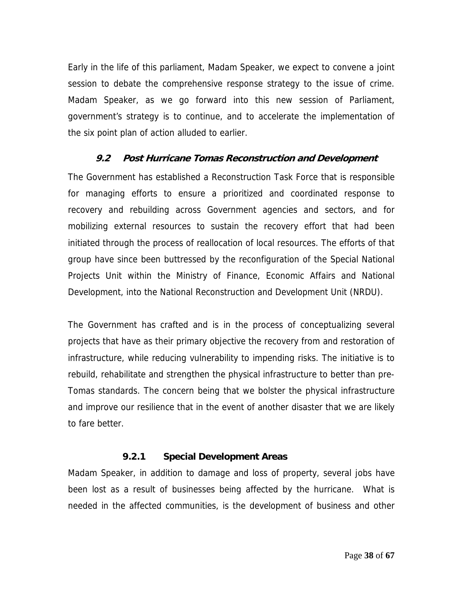Early in the life of this parliament, Madam Speaker, we expect to convene a joint session to debate the comprehensive response strategy to the issue of crime. Madam Speaker, as we go forward into this new session of Parliament, government's strategy is to continue, and to accelerate the implementation of the six point plan of action alluded to earlier.

# **9.2 Post Hurricane Tomas Reconstruction and Development**

The Government has established a Reconstruction Task Force that is responsible for managing efforts to ensure a prioritized and coordinated response to recovery and rebuilding across Government agencies and sectors, and for mobilizing external resources to sustain the recovery effort that had been initiated through the process of reallocation of local resources. The efforts of that group have since been buttressed by the reconfiguration of the Special National Projects Unit within the Ministry of Finance, Economic Affairs and National Development, into the National Reconstruction and Development Unit (NRDU).

The Government has crafted and is in the process of conceptualizing several projects that have as their primary objective the recovery from and restoration of infrastructure, while reducing vulnerability to impending risks. The initiative is to rebuild, rehabilitate and strengthen the physical infrastructure to better than pre-Tomas standards. The concern being that we bolster the physical infrastructure and improve our resilience that in the event of another disaster that we are likely to fare better.

#### **9.2.1 Special Development Areas**

Madam Speaker, in addition to damage and loss of property, several jobs have been lost as a result of businesses being affected by the hurricane. What is needed in the affected communities, is the development of business and other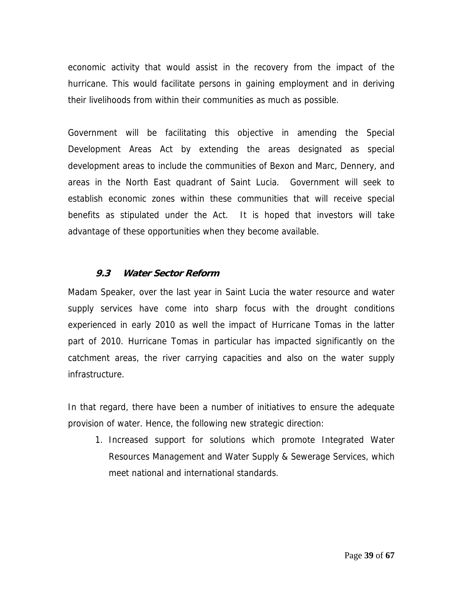economic activity that would assist in the recovery from the impact of the hurricane. This would facilitate persons in gaining employment and in deriving their livelihoods from within their communities as much as possible.

Government will be facilitating this objective in amending the Special Development Areas Act by extending the areas designated as special development areas to include the communities of Bexon and Marc, Dennery, and areas in the North East quadrant of Saint Lucia. Government will seek to establish economic zones within these communities that will receive special benefits as stipulated under the Act. It is hoped that investors will take advantage of these opportunities when they become available.

#### **9.3 Water Sector Reform**

Madam Speaker, over the last year in Saint Lucia the water resource and water supply services have come into sharp focus with the drought conditions experienced in early 2010 as well the impact of Hurricane Tomas in the latter part of 2010. Hurricane Tomas in particular has impacted significantly on the catchment areas, the river carrying capacities and also on the water supply infrastructure.

In that regard, there have been a number of initiatives to ensure the adequate provision of water. Hence, the following new strategic direction:

1. Increased support for solutions which promote Integrated Water Resources Management and Water Supply & Sewerage Services, which meet national and international standards.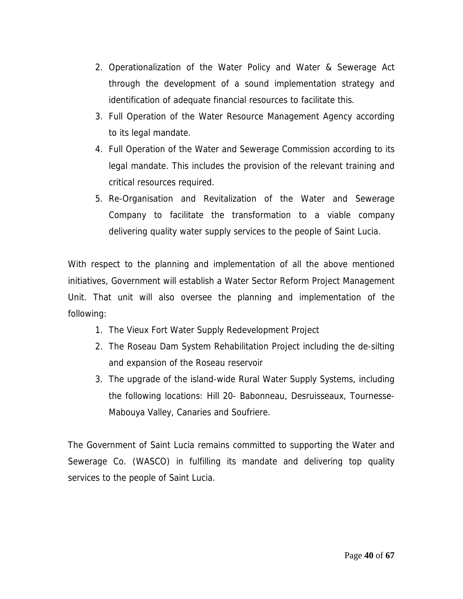- 2. Operationalization of the Water Policy and Water & Sewerage Act through the development of a sound implementation strategy and identification of adequate financial resources to facilitate this.
- 3. Full Operation of the Water Resource Management Agency according to its legal mandate.
- 4. Full Operation of the Water and Sewerage Commission according to its legal mandate. This includes the provision of the relevant training and critical resources required.
- 5. Re-Organisation and Revitalization of the Water and Sewerage Company to facilitate the transformation to a viable company delivering quality water supply services to the people of Saint Lucia.

With respect to the planning and implementation of all the above mentioned initiatives, Government will establish a Water Sector Reform Project Management Unit. That unit will also oversee the planning and implementation of the following:

- 1. The Vieux Fort Water Supply Redevelopment Project
- 2. The Roseau Dam System Rehabilitation Project including the de-silting and expansion of the Roseau reservoir
- 3. The upgrade of the island-wide Rural Water Supply Systems, including the following locations: Hill 20- Babonneau, Desruisseaux, Tournesse-Mabouya Valley, Canaries and Soufriere.

The Government of Saint Lucia remains committed to supporting the Water and Sewerage Co. (WASCO) in fulfilling its mandate and delivering top quality services to the people of Saint Lucia.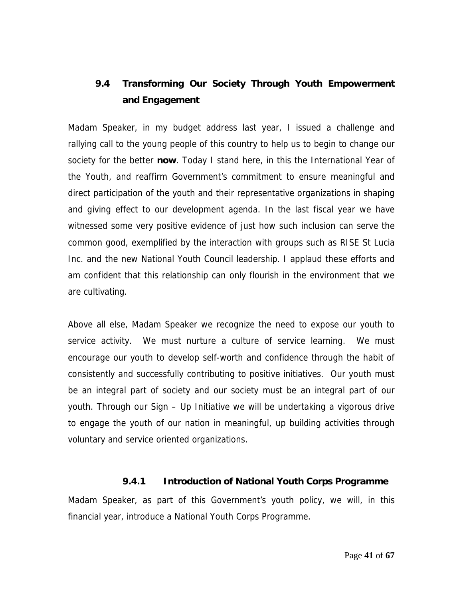# **9.4 Transforming Our Society Through Youth Empowerment and Engagement**

Madam Speaker, in my budget address last year, I issued a challenge and rallying call to the young people of this country to help us to begin to change our society for the better **now**. Today I stand here, in this the International Year of the Youth, and reaffirm Government's commitment to ensure meaningful and direct participation of the youth and their representative organizations in shaping and giving effect to our development agenda. In the last fiscal year we have witnessed some very positive evidence of just how such inclusion can serve the common good, exemplified by the interaction with groups such as RISE St Lucia Inc. and the new National Youth Council leadership. I applaud these efforts and am confident that this relationship can only flourish in the environment that we are cultivating.

Above all else, Madam Speaker we recognize the need to expose our youth to service activity. We must nurture a culture of service learning. We must encourage our youth to develop self-worth and confidence through the habit of consistently and successfully contributing to positive initiatives. Our youth must be an integral part of society and our society must be an integral part of our youth. Through our Sign – Up Initiative we will be undertaking a vigorous drive to engage the youth of our nation in meaningful, up building activities through voluntary and service oriented organizations.

# **9.4.1 Introduction of National Youth Corps Programme**

Madam Speaker, as part of this Government's youth policy, we will, in this financial year, introduce a National Youth Corps Programme.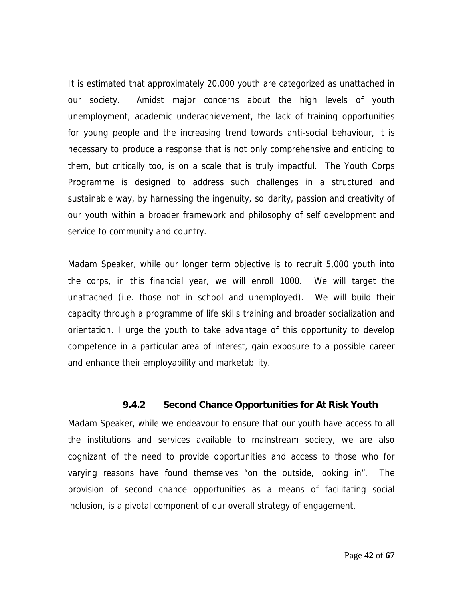It is estimated that approximately 20,000 youth are categorized as unattached in our society. Amidst major concerns about the high levels of youth unemployment, academic underachievement, the lack of training opportunities for young people and the increasing trend towards anti-social behaviour, it is necessary to produce a response that is not only comprehensive and enticing to them, but critically too, is on a scale that is truly impactful. The Youth Corps Programme is designed to address such challenges in a structured and sustainable way, by harnessing the ingenuity, solidarity, passion and creativity of our youth within a broader framework and philosophy of self development and service to community and country.

Madam Speaker, while our longer term objective is to recruit 5,000 youth into the corps, in this financial year, we will enroll 1000. We will target the unattached (i.e. those not in school and unemployed). We will build their capacity through a programme of life skills training and broader socialization and orientation. I urge the youth to take advantage of this opportunity to develop competence in a particular area of interest, gain exposure to a possible career and enhance their employability and marketability.

#### **9.4.2 Second Chance Opportunities for At Risk Youth**

Madam Speaker, while we endeavour to ensure that our youth have access to all the institutions and services available to mainstream society, we are also cognizant of the need to provide opportunities and access to those who for varying reasons have found themselves "on the outside, looking in". The provision of second chance opportunities as a means of facilitating social inclusion, is a pivotal component of our overall strategy of engagement.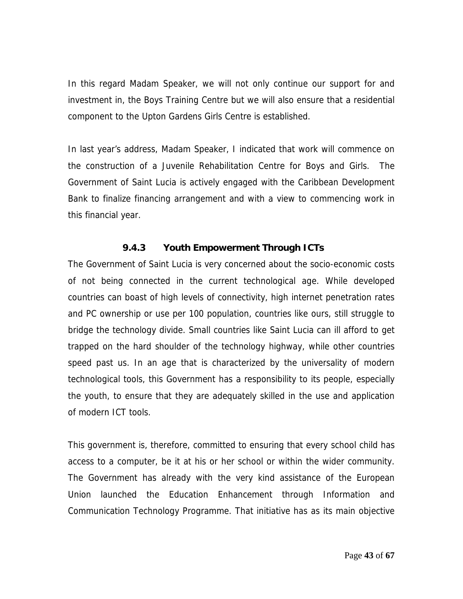In this regard Madam Speaker, we will not only continue our support for and investment in, the Boys Training Centre but we will also ensure that a residential component to the Upton Gardens Girls Centre is established.

In last year's address, Madam Speaker, I indicated that work will commence on the construction of a Juvenile Rehabilitation Centre for Boys and Girls. The Government of Saint Lucia is actively engaged with the Caribbean Development Bank to finalize financing arrangement and with a view to commencing work in this financial year.

# **9.4.3 Youth Empowerment Through ICTs**

The Government of Saint Lucia is very concerned about the socio-economic costs of not being connected in the current technological age. While developed countries can boast of high levels of connectivity, high internet penetration rates and PC ownership or use per 100 population, countries like ours, still struggle to bridge the technology divide. Small countries like Saint Lucia can ill afford to get trapped on the hard shoulder of the technology highway, while other countries speed past us. In an age that is characterized by the universality of modern technological tools, this Government has a responsibility to its people, especially the youth, to ensure that they are adequately skilled in the use and application of modern ICT tools.

This government is, therefore, committed to ensuring that every school child has access to a computer, be it at his or her school or within the wider community. The Government has already with the very kind assistance of the European Union launched the Education Enhancement through Information and Communication Technology Programme. That initiative has as its main objective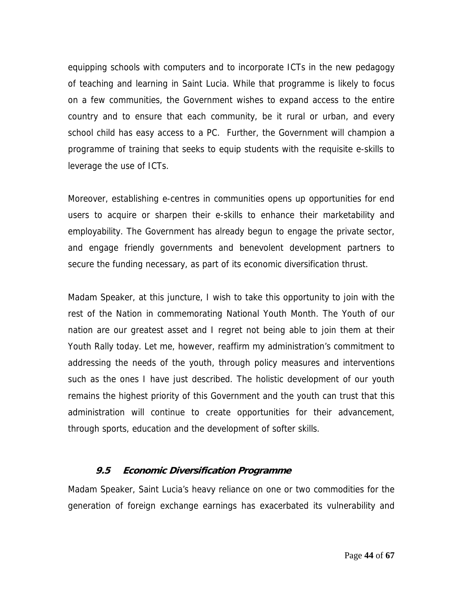equipping schools with computers and to incorporate ICTs in the new pedagogy of teaching and learning in Saint Lucia. While that programme is likely to focus on a few communities, the Government wishes to expand access to the entire country and to ensure that each community, be it rural or urban, and every school child has easy access to a PC. Further, the Government will champion a programme of training that seeks to equip students with the requisite e-skills to leverage the use of ICTs.

Moreover, establishing e-centres in communities opens up opportunities for end users to acquire or sharpen their e-skills to enhance their marketability and employability. The Government has already begun to engage the private sector, and engage friendly governments and benevolent development partners to secure the funding necessary, as part of its economic diversification thrust.

Madam Speaker, at this juncture, I wish to take this opportunity to join with the rest of the Nation in commemorating National Youth Month. The Youth of our nation are our greatest asset and I regret not being able to join them at their Youth Rally today. Let me, however, reaffirm my administration's commitment to addressing the needs of the youth, through policy measures and interventions such as the ones I have just described. The holistic development of our youth remains the highest priority of this Government and the youth can trust that this administration will continue to create opportunities for their advancement, through sports, education and the development of softer skills.

#### **9.5 Economic Diversification Programme**

Madam Speaker, Saint Lucia's heavy reliance on one or two commodities for the generation of foreign exchange earnings has exacerbated its vulnerability and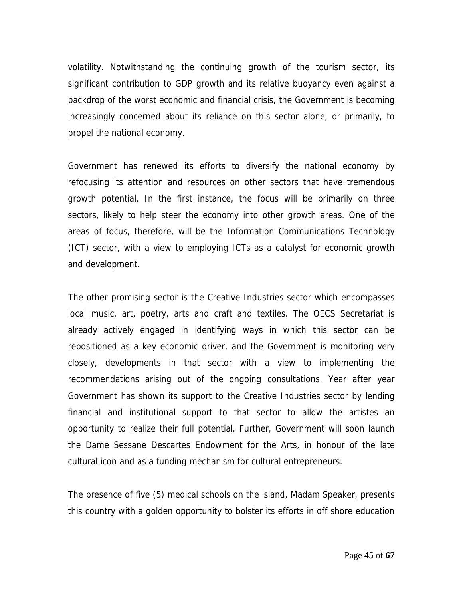volatility. Notwithstanding the continuing growth of the tourism sector, its significant contribution to GDP growth and its relative buoyancy even against a backdrop of the worst economic and financial crisis, the Government is becoming increasingly concerned about its reliance on this sector alone, or primarily, to propel the national economy.

Government has renewed its efforts to diversify the national economy by refocusing its attention and resources on other sectors that have tremendous growth potential. In the first instance, the focus will be primarily on three sectors, likely to help steer the economy into other growth areas. One of the areas of focus, therefore, will be the Information Communications Technology (ICT) sector, with a view to employing ICTs as a catalyst for economic growth and development.

The other promising sector is the Creative Industries sector which encompasses local music, art, poetry, arts and craft and textiles. The OECS Secretariat is already actively engaged in identifying ways in which this sector can be repositioned as a key economic driver, and the Government is monitoring very closely, developments in that sector with a view to implementing the recommendations arising out of the ongoing consultations. Year after year Government has shown its support to the Creative Industries sector by lending financial and institutional support to that sector to allow the artistes an opportunity to realize their full potential. Further, Government will soon launch the Dame Sessane Descartes Endowment for the Arts, in honour of the late cultural icon and as a funding mechanism for cultural entrepreneurs.

The presence of five (5) medical schools on the island, Madam Speaker, presents this country with a golden opportunity to bolster its efforts in off shore education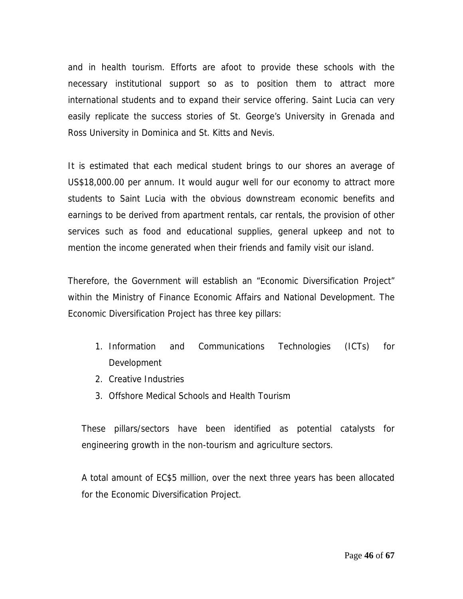and in health tourism. Efforts are afoot to provide these schools with the necessary institutional support so as to position them to attract more international students and to expand their service offering. Saint Lucia can very easily replicate the success stories of St. George's University in Grenada and Ross University in Dominica and St. Kitts and Nevis.

It is estimated that each medical student brings to our shores an average of US\$18,000.00 per annum. It would augur well for our economy to attract more students to Saint Lucia with the obvious downstream economic benefits and earnings to be derived from apartment rentals, car rentals, the provision of other services such as food and educational supplies, general upkeep and not to mention the income generated when their friends and family visit our island.

Therefore, the Government will establish an "Economic Diversification Project" within the Ministry of Finance Economic Affairs and National Development. The Economic Diversification Project has three key pillars:

- 1. Information and Communications Technologies (ICTs) for Development
- 2. Creative Industries
- 3. Offshore Medical Schools and Health Tourism

These pillars/sectors have been identified as potential catalysts for engineering growth in the non-tourism and agriculture sectors.

A total amount of EC\$5 million, over the next three years has been allocated for the Economic Diversification Project.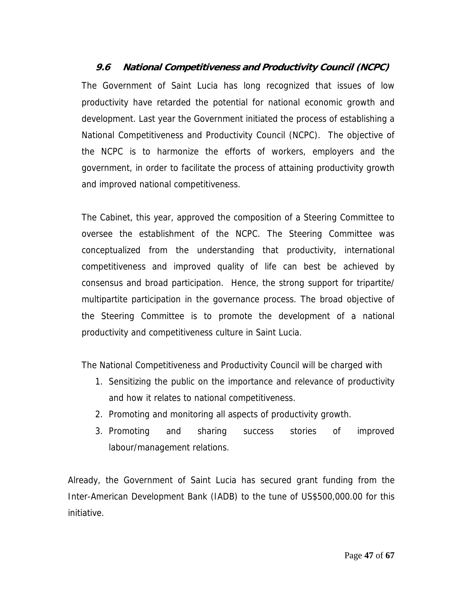**9.6 National Competitiveness and Productivity Council (NCPC)** The Government of Saint Lucia has long recognized that issues of low productivity have retarded the potential for national economic growth and development. Last year the Government initiated the process of establishing a National Competitiveness and Productivity Council (NCPC). The objective of the NCPC is to harmonize the efforts of workers, employers and the government, in order to facilitate the process of attaining productivity growth and improved national competitiveness.

The Cabinet, this year, approved the composition of a Steering Committee to oversee the establishment of the NCPC. The Steering Committee was conceptualized from the understanding that productivity, international competitiveness and improved quality of life can best be achieved by consensus and broad participation. Hence, the strong support for tripartite/ multipartite participation in the governance process. The broad objective of the Steering Committee is to promote the development of a national productivity and competitiveness culture in Saint Lucia.

The National Competitiveness and Productivity Council will be charged with

- 1. Sensitizing the public on the importance and relevance of productivity and how it relates to national competitiveness.
- 2. Promoting and monitoring all aspects of productivity growth.
- 3. Promoting and sharing success stories of improved labour/management relations.

Already, the Government of Saint Lucia has secured grant funding from the Inter-American Development Bank (IADB) to the tune of US\$500,000.00 for this initiative.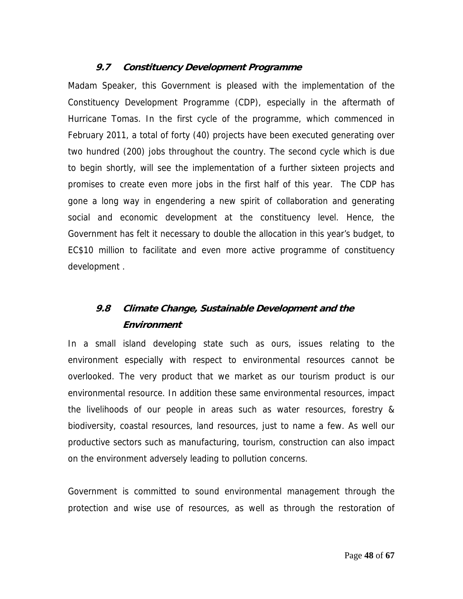## **9.7 Constituency Development Programme**

Madam Speaker, this Government is pleased with the implementation of the Constituency Development Programme (CDP), especially in the aftermath of Hurricane Tomas. In the first cycle of the programme, which commenced in February 2011, a total of forty (40) projects have been executed generating over two hundred (200) jobs throughout the country. The second cycle which is due to begin shortly, will see the implementation of a further sixteen projects and promises to create even more jobs in the first half of this year. The CDP has gone a long way in engendering a new spirit of collaboration and generating social and economic development at the constituency level. Hence, the Government has felt it necessary to double the allocation in this year's budget, to EC\$10 million to facilitate and even more active programme of constituency development .

# **9.8 Climate Change, Sustainable Development and the Environment**

In a small island developing state such as ours, issues relating to the environment especially with respect to environmental resources cannot be overlooked. The very product that we market as our tourism product is our environmental resource. In addition these same environmental resources, impact the livelihoods of our people in areas such as water resources, forestry & biodiversity, coastal resources, land resources, just to name a few. As well our productive sectors such as manufacturing, tourism, construction can also impact on the environment adversely leading to pollution concerns.

Government is committed to sound environmental management through the protection and wise use of resources, as well as through the restoration of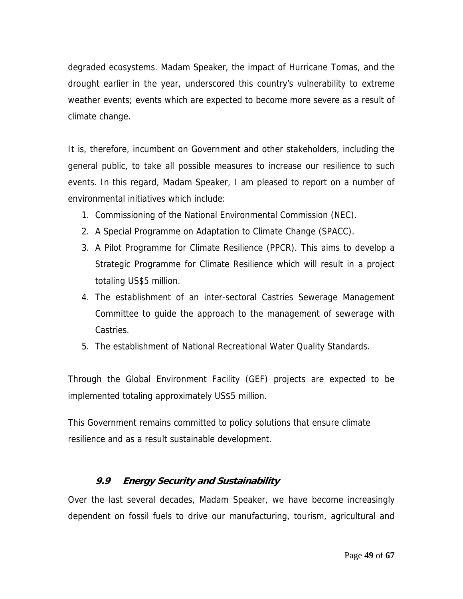degraded ecosystems. Madam Speaker, the impact of Hurricane Tomas, and the drought earlier in the year, underscored this country's vulnerability to extreme weather events; events which are expected to become more severe as a result of climate change.

It is, therefore, incumbent on Government and other stakeholders, including the general public, to take all possible measures to increase our resilience to such events. In this regard, Madam Speaker, I am pleased to report on a number of environmental initiatives which include:

- 1. Commissioning of the National Environmental Commission (NEC).
- 2. A Special Programme on Adaptation to Climate Change (SPACC).
- 3. A Pilot Programme for Climate Resilience (PPCR). This aims to develop a Strategic Programme for Climate Resilience which will result in a project totaling US\$5 million.
- 4. The establishment of an inter-sectoral Castries Sewerage Management Committee to guide the approach to the management of sewerage with Castries.
- 5. The establishment of National Recreational Water Quality Standards.

Through the Global Environment Facility (GEF) projects are expected to be implemented totaling approximately US\$5 million.

This Government remains committed to policy solutions that ensure climate resilience and as a result sustainable development.

# **9.9 Energy Security and Sustainability**

Over the last several decades, Madam Speaker, we have become increasingly dependent on fossil fuels to drive our manufacturing, tourism, agricultural and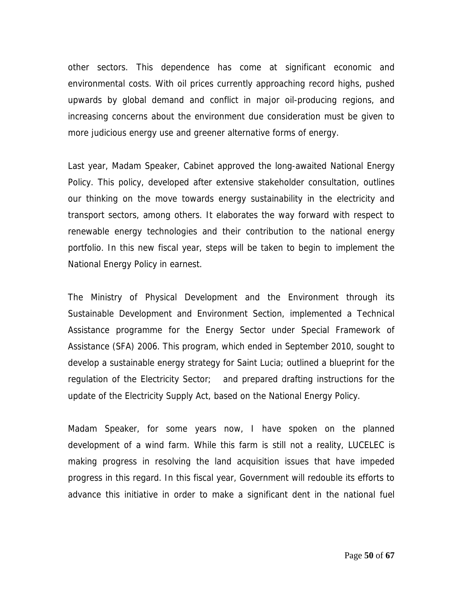other sectors. This dependence has come at significant economic and environmental costs. With oil prices currently approaching record highs, pushed upwards by global demand and conflict in major oil-producing regions, and increasing concerns about the environment due consideration must be given to more judicious energy use and greener alternative forms of energy.

Last year, Madam Speaker, Cabinet approved the long-awaited National Energy Policy. This policy, developed after extensive stakeholder consultation, outlines our thinking on the move towards energy sustainability in the electricity and transport sectors, among others. It elaborates the way forward with respect to renewable energy technologies and their contribution to the national energy portfolio. In this new fiscal year, steps will be taken to begin to implement the National Energy Policy in earnest.

The Ministry of Physical Development and the Environment through its Sustainable Development and Environment Section, implemented a Technical Assistance programme for the Energy Sector under Special Framework of Assistance (SFA) 2006. This program, which ended in September 2010, sought to develop a sustainable energy strategy for Saint Lucia; outlined a blueprint for the regulation of the Electricity Sector; and prepared drafting instructions for the update of the Electricity Supply Act, based on the National Energy Policy.

Madam Speaker, for some years now, I have spoken on the planned development of a wind farm. While this farm is still not a reality, LUCELEC is making progress in resolving the land acquisition issues that have impeded progress in this regard. In this fiscal year, Government will redouble its efforts to advance this initiative in order to make a significant dent in the national fuel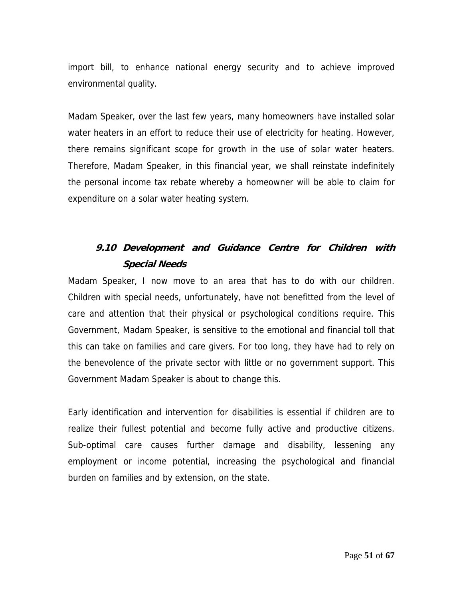import bill, to enhance national energy security and to achieve improved environmental quality.

Madam Speaker, over the last few years, many homeowners have installed solar water heaters in an effort to reduce their use of electricity for heating. However, there remains significant scope for growth in the use of solar water heaters. Therefore, Madam Speaker, in this financial year, we shall reinstate indefinitely the personal income tax rebate whereby a homeowner will be able to claim for expenditure on a solar water heating system.

# **9.10 Development and Guidance Centre for Children with Special Needs**

Madam Speaker, I now move to an area that has to do with our children. Children with special needs, unfortunately, have not benefitted from the level of care and attention that their physical or psychological conditions require. This Government, Madam Speaker, is sensitive to the emotional and financial toll that this can take on families and care givers. For too long, they have had to rely on the benevolence of the private sector with little or no government support. This Government Madam Speaker is about to change this.

Early identification and intervention for disabilities is essential if children are to realize their fullest potential and become fully active and productive citizens. Sub-optimal care causes further damage and disability, lessening any employment or income potential, increasing the psychological and financial burden on families and by extension, on the state.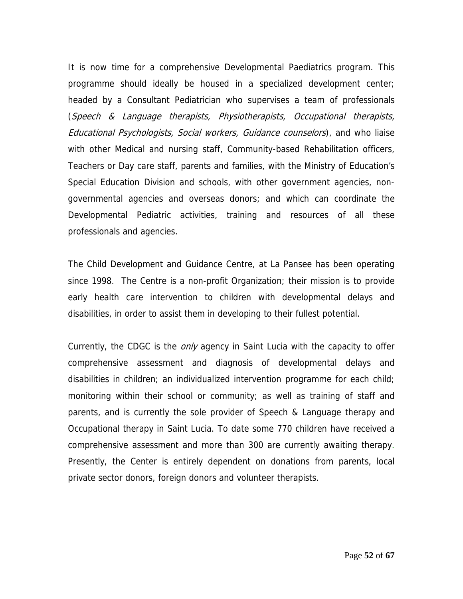It is now time for a comprehensive Developmental Paediatrics program. This programme should ideally be housed in a specialized development center; headed by a Consultant Pediatrician who supervises a team of professionals (Speech & Language therapists, Physiotherapists, Occupational therapists, Educational Psychologists, Social workers, Guidance counselors), and who liaise with other Medical and nursing staff, Community-based Rehabilitation officers, Teachers or Day care staff, parents and families, with the Ministry of Education's Special Education Division and schools, with other government agencies, nongovernmental agencies and overseas donors; and which can coordinate the Developmental Pediatric activities, training and resources of all these professionals and agencies.

The Child Development and Guidance Centre, at La Pansee has been operating since 1998. The Centre is a non-profit Organization; their mission is to provide early health care intervention to children with developmental delays and disabilities, in order to assist them in developing to their fullest potential.

Currently, the CDGC is the *only* agency in Saint Lucia with the capacity to offer comprehensive assessment and diagnosis of developmental delays and disabilities in children; an individualized intervention programme for each child; monitoring within their school or community; as well as training of staff and parents, and is currently the sole provider of Speech & Language therapy and Occupational therapy in Saint Lucia. To date some 770 children have received a comprehensive assessment and more than 300 are currently awaiting therapy. Presently, the Center is entirely dependent on donations from parents, local private sector donors, foreign donors and volunteer therapists.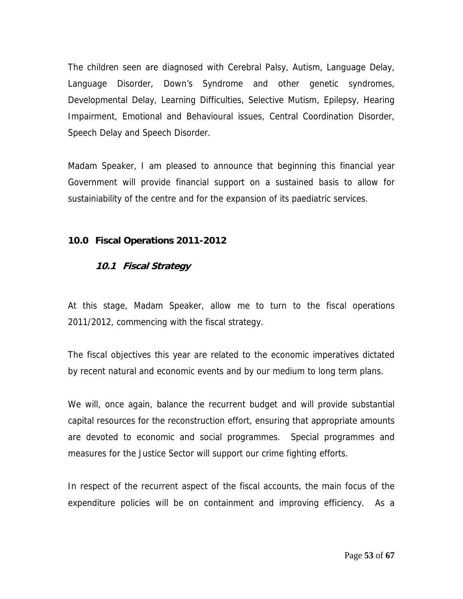The children seen are diagnosed with Cerebral Palsy, Autism, Language Delay, Language Disorder, Down's Syndrome and other genetic syndromes, Developmental Delay, Learning Difficulties, Selective Mutism, Epilepsy, Hearing Impairment, Emotional and Behavioural issues, Central Coordination Disorder, Speech Delay and Speech Disorder.

Madam Speaker, I am pleased to announce that beginning this financial year Government will provide financial support on a sustained basis to allow for sustainiability of the centre and for the expansion of its paediatric services.

#### **10.0 Fiscal Operations 2011-2012**

#### **10.1 Fiscal Strategy**

At this stage, Madam Speaker, allow me to turn to the fiscal operations 2011/2012, commencing with the fiscal strategy.

The fiscal objectives this year are related to the economic imperatives dictated by recent natural and economic events and by our medium to long term plans.

We will, once again, balance the recurrent budget and will provide substantial capital resources for the reconstruction effort, ensuring that appropriate amounts are devoted to economic and social programmes. Special programmes and measures for the Justice Sector will support our crime fighting efforts.

In respect of the recurrent aspect of the fiscal accounts, the main focus of the expenditure policies will be on containment and improving efficiency. As a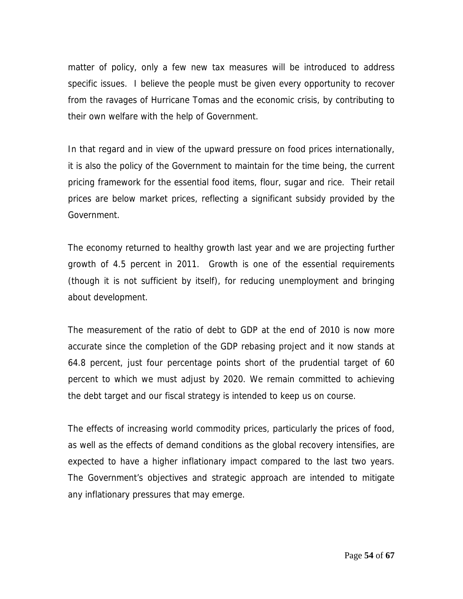matter of policy, only a few new tax measures will be introduced to address specific issues. I believe the people must be given every opportunity to recover from the ravages of Hurricane Tomas and the economic crisis, by contributing to their own welfare with the help of Government.

In that regard and in view of the upward pressure on food prices internationally, it is also the policy of the Government to maintain for the time being, the current pricing framework for the essential food items, flour, sugar and rice. Their retail prices are below market prices, reflecting a significant subsidy provided by the Government.

The economy returned to healthy growth last year and we are projecting further growth of 4.5 percent in 2011. Growth is one of the essential requirements (though it is not sufficient by itself), for reducing unemployment and bringing about development.

The measurement of the ratio of debt to GDP at the end of 2010 is now more accurate since the completion of the GDP rebasing project and it now stands at 64.8 percent, just four percentage points short of the prudential target of 60 percent to which we must adjust by 2020. We remain committed to achieving the debt target and our fiscal strategy is intended to keep us on course.

The effects of increasing world commodity prices, particularly the prices of food, as well as the effects of demand conditions as the global recovery intensifies, are expected to have a higher inflationary impact compared to the last two years. The Government's objectives and strategic approach are intended to mitigate any inflationary pressures that may emerge.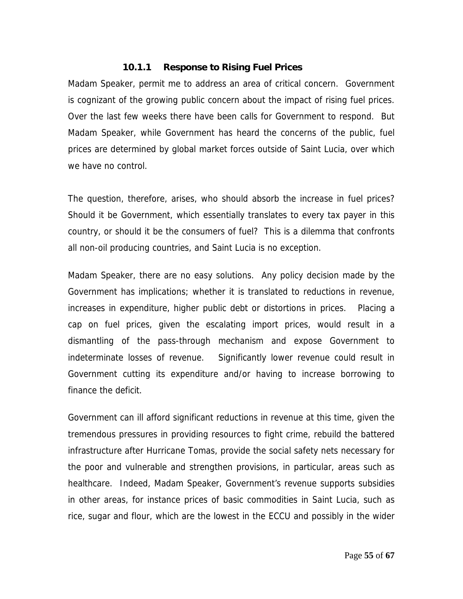#### **10.1.1 Response to Rising Fuel Prices**

Madam Speaker, permit me to address an area of critical concern. Government is cognizant of the growing public concern about the impact of rising fuel prices. Over the last few weeks there have been calls for Government to respond. But Madam Speaker, while Government has heard the concerns of the public, fuel prices are determined by global market forces outside of Saint Lucia, over which we have no control.

The question, therefore, arises, who should absorb the increase in fuel prices? Should it be Government, which essentially translates to every tax payer in this country, or should it be the consumers of fuel? This is a dilemma that confronts all non-oil producing countries, and Saint Lucia is no exception.

Madam Speaker, there are no easy solutions. Any policy decision made by the Government has implications; whether it is translated to reductions in revenue, increases in expenditure, higher public debt or distortions in prices. Placing a cap on fuel prices, given the escalating import prices, would result in a dismantling of the pass-through mechanism and expose Government to indeterminate losses of revenue. Significantly lower revenue could result in Government cutting its expenditure and/or having to increase borrowing to finance the deficit.

Government can ill afford significant reductions in revenue at this time, given the tremendous pressures in providing resources to fight crime, rebuild the battered infrastructure after Hurricane Tomas, provide the social safety nets necessary for the poor and vulnerable and strengthen provisions, in particular, areas such as healthcare. Indeed, Madam Speaker, Government's revenue supports subsidies in other areas, for instance prices of basic commodities in Saint Lucia, such as rice, sugar and flour, which are the lowest in the ECCU and possibly in the wider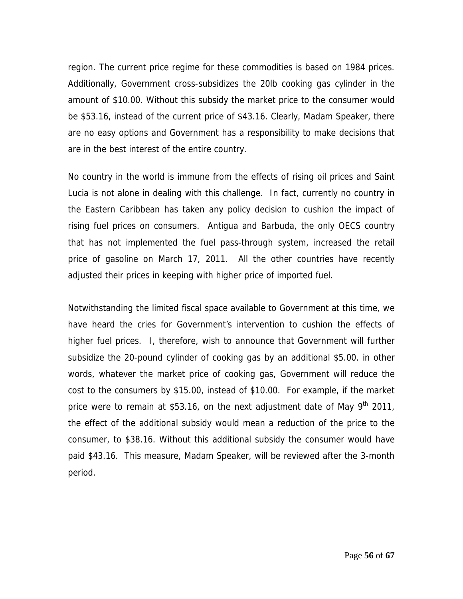region. The current price regime for these commodities is based on 1984 prices. Additionally, Government cross-subsidizes the 20lb cooking gas cylinder in the amount of \$10.00. Without this subsidy the market price to the consumer would be \$53.16, instead of the current price of \$43.16. Clearly, Madam Speaker, there are no easy options and Government has a responsibility to make decisions that are in the best interest of the entire country.

No country in the world is immune from the effects of rising oil prices and Saint Lucia is not alone in dealing with this challenge. In fact, currently no country in the Eastern Caribbean has taken any policy decision to cushion the impact of rising fuel prices on consumers. Antigua and Barbuda, the only OECS country that has not implemented the fuel pass-through system, increased the retail price of gasoline on March 17, 2011. All the other countries have recently adjusted their prices in keeping with higher price of imported fuel.

Notwithstanding the limited fiscal space available to Government at this time, we have heard the cries for Government's intervention to cushion the effects of higher fuel prices. I, therefore, wish to announce that Government will further subsidize the 20-pound cylinder of cooking gas by an additional \$5.00. in other words, whatever the market price of cooking gas, Government will reduce the cost to the consumers by \$15.00, instead of \$10.00. For example, if the market price were to remain at \$53.16, on the next adjustment date of May  $9<sup>th</sup>$  2011, the effect of the additional subsidy would mean a reduction of the price to the consumer, to \$38.16. Without this additional subsidy the consumer would have paid \$43.16. This measure, Madam Speaker, will be reviewed after the 3-month period.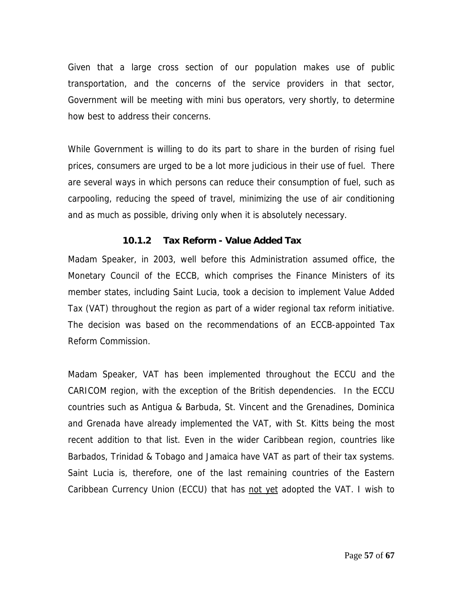Given that a large cross section of our population makes use of public transportation, and the concerns of the service providers in that sector, Government will be meeting with mini bus operators, very shortly, to determine how best to address their concerns.

While Government is willing to do its part to share in the burden of rising fuel prices, consumers are urged to be a lot more judicious in their use of fuel. There are several ways in which persons can reduce their consumption of fuel, such as carpooling, reducing the speed of travel, minimizing the use of air conditioning and as much as possible, driving only when it is absolutely necessary.

#### **10.1.2 Tax Reform - Value Added Tax**

Madam Speaker, in 2003, well before this Administration assumed office, the Monetary Council of the ECCB, which comprises the Finance Ministers of its member states, including Saint Lucia, took a decision to implement Value Added Tax (VAT) throughout the region as part of a wider regional tax reform initiative. The decision was based on the recommendations of an ECCB-appointed Tax Reform Commission.

Madam Speaker, VAT has been implemented throughout the ECCU and the CARICOM region, with the exception of the British dependencies. In the ECCU countries such as Antigua & Barbuda, St. Vincent and the Grenadines, Dominica and Grenada have already implemented the VAT, with St. Kitts being the most recent addition to that list. Even in the wider Caribbean region, countries like Barbados, Trinidad & Tobago and Jamaica have VAT as part of their tax systems. Saint Lucia is, therefore, one of the last remaining countries of the Eastern Caribbean Currency Union (ECCU) that has not yet adopted the VAT. I wish to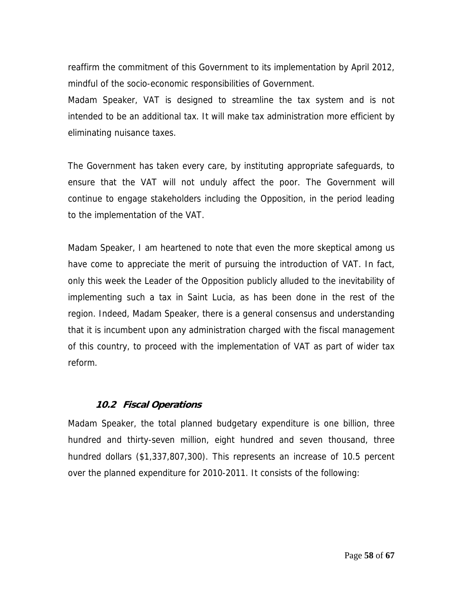reaffirm the commitment of this Government to its implementation by April 2012, mindful of the socio-economic responsibilities of Government.

Madam Speaker, VAT is designed to streamline the tax system and is not intended to be an additional tax. It will make tax administration more efficient by eliminating nuisance taxes.

The Government has taken every care, by instituting appropriate safeguards, to ensure that the VAT will not unduly affect the poor. The Government will continue to engage stakeholders including the Opposition, in the period leading to the implementation of the VAT.

Madam Speaker, I am heartened to note that even the more skeptical among us have come to appreciate the merit of pursuing the introduction of VAT. In fact, only this week the Leader of the Opposition publicly alluded to the inevitability of implementing such a tax in Saint Lucia, as has been done in the rest of the region. Indeed, Madam Speaker, there is a general consensus and understanding that it is incumbent upon any administration charged with the fiscal management of this country, to proceed with the implementation of VAT as part of wider tax reform.

#### **10.2 Fiscal Operations**

Madam Speaker, the total planned budgetary expenditure is one billion, three hundred and thirty-seven million, eight hundred and seven thousand, three hundred dollars (\$1,337,807,300). This represents an increase of 10.5 percent over the planned expenditure for 2010-2011. It consists of the following: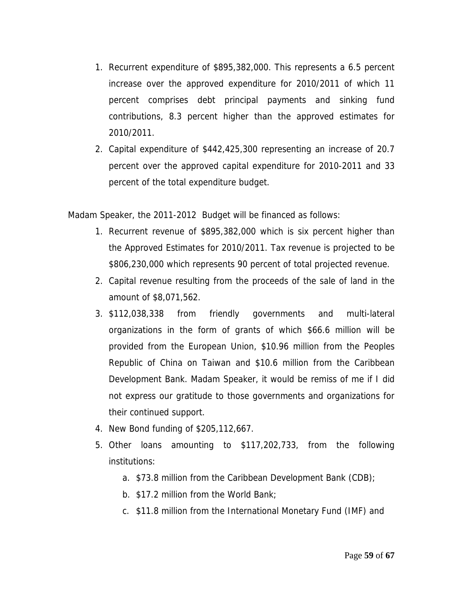- 1. Recurrent expenditure of \$895,382,000. This represents a 6.5 percent increase over the approved expenditure for 2010/2011 of which 11 percent comprises debt principal payments and sinking fund contributions, 8.3 percent higher than the approved estimates for 2010/2011.
- 2. Capital expenditure of \$442,425,300 representing an increase of 20.7 percent over the approved capital expenditure for 2010-2011 and 33 percent of the total expenditure budget.

Madam Speaker, the 2011-2012 Budget will be financed as follows:

- 1. Recurrent revenue of \$895,382,000 which is six percent higher than the Approved Estimates for 2010/2011. Tax revenue is projected to be \$806,230,000 which represents 90 percent of total projected revenue.
- 2. Capital revenue resulting from the proceeds of the sale of land in the amount of \$8,071,562.
- 3. \$112,038,338 from friendly governments and multi-lateral organizations in the form of grants of which \$66.6 million will be provided from the European Union, \$10.96 million from the Peoples Republic of China on Taiwan and \$10.6 million from the Caribbean Development Bank. Madam Speaker, it would be remiss of me if I did not express our gratitude to those governments and organizations for their continued support.
- 4. New Bond funding of \$205,112,667.
- 5. Other loans amounting to \$117,202,733, from the following institutions:
	- a. \$73.8 million from the Caribbean Development Bank (CDB);
	- b. \$17.2 million from the World Bank;
	- c. \$11.8 million from the International Monetary Fund (IMF) and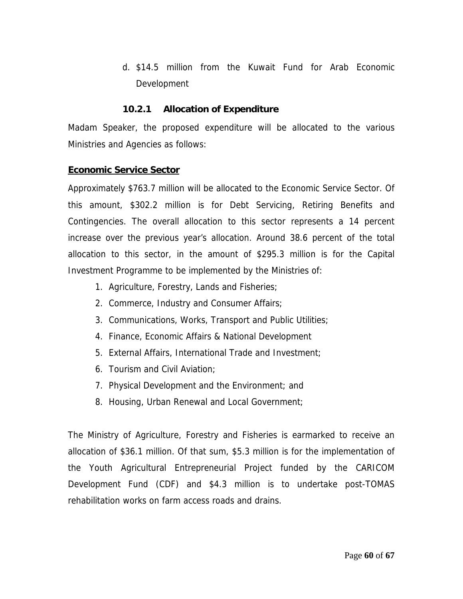d. \$14.5 million from the Kuwait Fund for Arab Economic Development

#### **10.2.1 Allocation of Expenditure**

Madam Speaker, the proposed expenditure will be allocated to the various Ministries and Agencies as follows:

#### **Economic Service Sector**

Approximately \$763.7 million will be allocated to the Economic Service Sector. Of this amount, \$302.2 million is for Debt Servicing, Retiring Benefits and Contingencies. The overall allocation to this sector represents a 14 percent increase over the previous year's allocation. Around 38.6 percent of the total allocation to this sector, in the amount of \$295.3 million is for the Capital Investment Programme to be implemented by the Ministries of:

- 1. Agriculture, Forestry, Lands and Fisheries;
- 2. Commerce, Industry and Consumer Affairs;
- 3. Communications, Works, Transport and Public Utilities;
- 4. Finance, Economic Affairs & National Development
- 5. External Affairs, International Trade and Investment;
- 6. Tourism and Civil Aviation;
- 7. Physical Development and the Environment; and
- 8. Housing, Urban Renewal and Local Government;

The Ministry of Agriculture, Forestry and Fisheries is earmarked to receive an allocation of \$36.1 million. Of that sum, \$5.3 million is for the implementation of the Youth Agricultural Entrepreneurial Project funded by the CARICOM Development Fund (CDF) and \$4.3 million is to undertake post-TOMAS rehabilitation works on farm access roads and drains.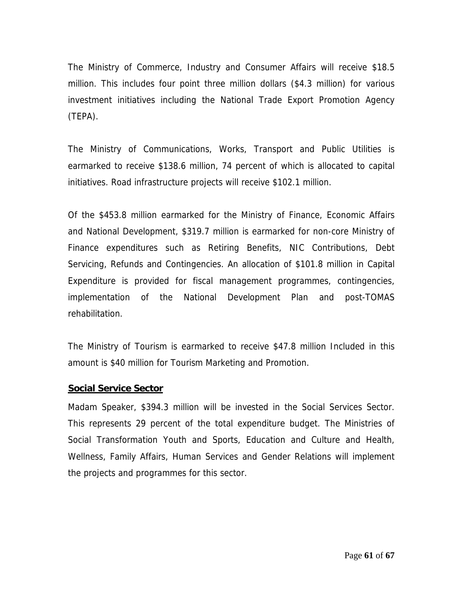The Ministry of Commerce, Industry and Consumer Affairs will receive \$18.5 million. This includes four point three million dollars (\$4.3 million) for various investment initiatives including the National Trade Export Promotion Agency (TEPA).

The Ministry of Communications, Works, Transport and Public Utilities is earmarked to receive \$138.6 million, 74 percent of which is allocated to capital initiatives. Road infrastructure projects will receive \$102.1 million.

Of the \$453.8 million earmarked for the Ministry of Finance, Economic Affairs and National Development, \$319.7 million is earmarked for non-core Ministry of Finance expenditures such as Retiring Benefits, NIC Contributions, Debt Servicing, Refunds and Contingencies. An allocation of \$101.8 million in Capital Expenditure is provided for fiscal management programmes, contingencies, implementation of the National Development Plan and post-TOMAS rehabilitation.

The Ministry of Tourism is earmarked to receive \$47.8 million Included in this amount is \$40 million for Tourism Marketing and Promotion.

#### **Social Service Sector**

Madam Speaker, \$394.3 million will be invested in the Social Services Sector. This represents 29 percent of the total expenditure budget. The Ministries of Social Transformation Youth and Sports, Education and Culture and Health, Wellness, Family Affairs, Human Services and Gender Relations will implement the projects and programmes for this sector.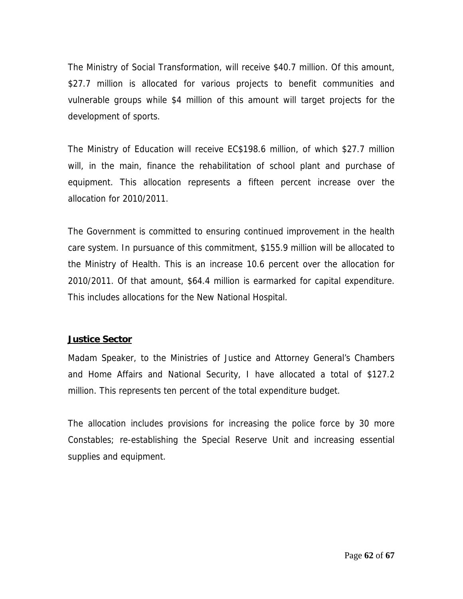The Ministry of Social Transformation, will receive \$40.7 million. Of this amount, \$27.7 million is allocated for various projects to benefit communities and vulnerable groups while \$4 million of this amount will target projects for the development of sports.

The Ministry of Education will receive EC\$198.6 million, of which \$27.7 million will, in the main, finance the rehabilitation of school plant and purchase of equipment. This allocation represents a fifteen percent increase over the allocation for 2010/2011.

The Government is committed to ensuring continued improvement in the health care system. In pursuance of this commitment, \$155.9 million will be allocated to the Ministry of Health. This is an increase 10.6 percent over the allocation for 2010/2011. Of that amount, \$64.4 million is earmarked for capital expenditure. This includes allocations for the New National Hospital.

#### **Justice Sector**

Madam Speaker, to the Ministries of Justice and Attorney General's Chambers and Home Affairs and National Security, I have allocated a total of \$127.2 million. This represents ten percent of the total expenditure budget.

The allocation includes provisions for increasing the police force by 30 more Constables; re-establishing the Special Reserve Unit and increasing essential supplies and equipment.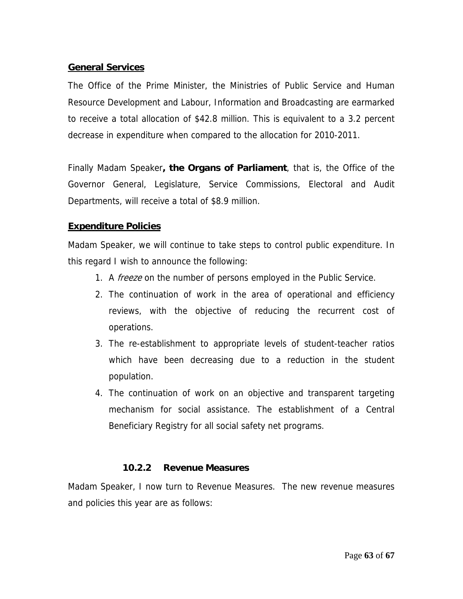#### **General Services**

The Office of the Prime Minister, the Ministries of Public Service and Human Resource Development and Labour, Information and Broadcasting are earmarked to receive a total allocation of \$42.8 million. This is equivalent to a 3.2 percent decrease in expenditure when compared to the allocation for 2010-2011.

Finally Madam Speaker**, the Organs of Parliament**, that is, the Office of the Governor General, Legislature, Service Commissions, Electoral and Audit Departments, will receive a total of \$8.9 million.

# **Expenditure Policies**

Madam Speaker, we will continue to take steps to control public expenditure. In this regard I wish to announce the following:

- 1. A freeze on the number of persons employed in the Public Service.
- 2. The continuation of work in the area of operational and efficiency reviews, with the objective of reducing the recurrent cost of operations.
- 3. The re-establishment to appropriate levels of student-teacher ratios which have been decreasing due to a reduction in the student population.
- 4. The continuation of work on an objective and transparent targeting mechanism for social assistance. The establishment of a Central Beneficiary Registry for all social safety net programs.

#### **10.2.2 Revenue Measures**

Madam Speaker, I now turn to Revenue Measures. The new revenue measures and policies this year are as follows: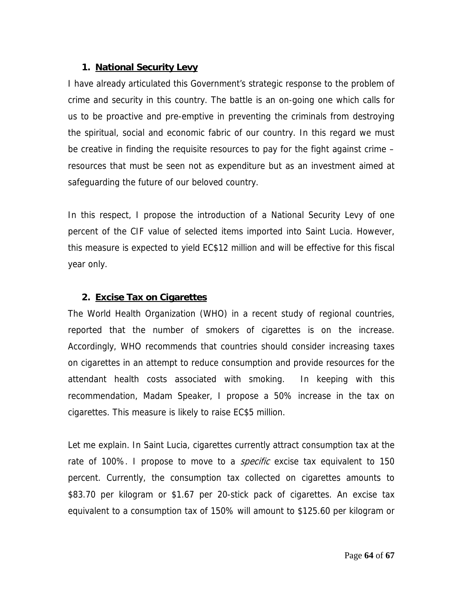# **1. National Security Levy**

I have already articulated this Government's strategic response to the problem of crime and security in this country. The battle is an on-going one which calls for us to be proactive and pre-emptive in preventing the criminals from destroying the spiritual, social and economic fabric of our country. In this regard we must be creative in finding the requisite resources to pay for the fight against crime – resources that must be seen not as expenditure but as an investment aimed at safeguarding the future of our beloved country.

In this respect, I propose the introduction of a National Security Levy of one percent of the CIF value of selected items imported into Saint Lucia. However, this measure is expected to yield EC\$12 million and will be effective for this fiscal year only.

# **2. Excise Tax on Cigarettes**

The World Health Organization (WHO) in a recent study of regional countries, reported that the number of smokers of cigarettes is on the increase. Accordingly, WHO recommends that countries should consider increasing taxes on cigarettes in an attempt to reduce consumption and provide resources for the attendant health costs associated with smoking. In keeping with this recommendation, Madam Speaker, I propose a 50% increase in the tax on cigarettes. This measure is likely to raise EC\$5 million.

Let me explain. In Saint Lucia, cigarettes currently attract consumption tax at the rate of 100%. I propose to move to a *specific* excise tax equivalent to 150 percent. Currently, the consumption tax collected on cigarettes amounts to \$83.70 per kilogram or \$1.67 per 20-stick pack of cigarettes. An excise tax equivalent to a consumption tax of 150% will amount to \$125.60 per kilogram or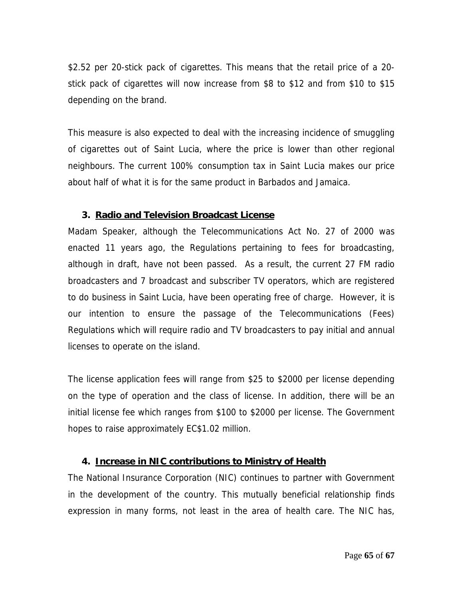\$2.52 per 20-stick pack of cigarettes. This means that the retail price of a 20 stick pack of cigarettes will now increase from \$8 to \$12 and from \$10 to \$15 depending on the brand.

This measure is also expected to deal with the increasing incidence of smuggling of cigarettes out of Saint Lucia, where the price is lower than other regional neighbours. The current 100% consumption tax in Saint Lucia makes our price about half of what it is for the same product in Barbados and Jamaica.

# **3. Radio and Television Broadcast License**

Madam Speaker, although the Telecommunications Act No. 27 of 2000 was enacted 11 years ago, the Regulations pertaining to fees for broadcasting, although in draft, have not been passed. As a result, the current 27 FM radio broadcasters and 7 broadcast and subscriber TV operators, which are registered to do business in Saint Lucia, have been operating free of charge. However, it is our intention to ensure the passage of the Telecommunications (Fees) Regulations which will require radio and TV broadcasters to pay initial and annual licenses to operate on the island.

The license application fees will range from \$25 to \$2000 per license depending on the type of operation and the class of license. In addition, there will be an initial license fee which ranges from \$100 to \$2000 per license. The Government hopes to raise approximately EC\$1.02 million.

# **4. Increase in NIC contributions to Ministry of Health**

The National Insurance Corporation (NIC) continues to partner with Government in the development of the country. This mutually beneficial relationship finds expression in many forms, not least in the area of health care. The NIC has,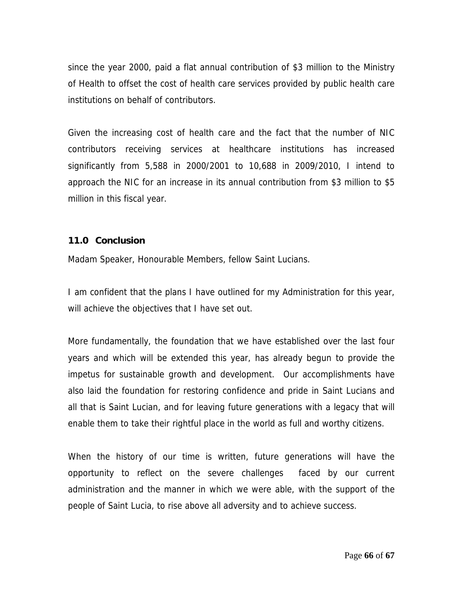since the year 2000, paid a flat annual contribution of \$3 million to the Ministry of Health to offset the cost of health care services provided by public health care institutions on behalf of contributors.

Given the increasing cost of health care and the fact that the number of NIC contributors receiving services at healthcare institutions has increased significantly from 5,588 in 2000/2001 to 10,688 in 2009/2010, I intend to approach the NIC for an increase in its annual contribution from \$3 million to \$5 million in this fiscal year.

#### **11.0 Conclusion**

Madam Speaker, Honourable Members, fellow Saint Lucians.

I am confident that the plans I have outlined for my Administration for this year, will achieve the objectives that I have set out.

More fundamentally, the foundation that we have established over the last four years and which will be extended this year, has already begun to provide the impetus for sustainable growth and development. Our accomplishments have also laid the foundation for restoring confidence and pride in Saint Lucians and all that is Saint Lucian, and for leaving future generations with a legacy that will enable them to take their rightful place in the world as full and worthy citizens.

When the history of our time is written, future generations will have the opportunity to reflect on the severe challenges faced by our current administration and the manner in which we were able, with the support of the people of Saint Lucia, to rise above all adversity and to achieve success.